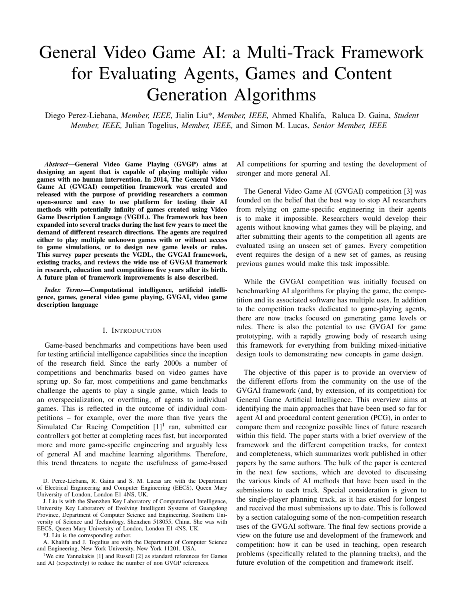# General Video Game AI: a Multi-Track Framework for Evaluating Agents, Games and Content Generation Algorithms

Diego Perez-Liebana, *Member, IEEE,* Jialin Liu\*, *Member, IEEE,* Ahmed Khalifa, Raluca D. Gaina, *Student Member, IEEE,* Julian Togelius, *Member, IEEE,* and Simon M. Lucas, *Senior Member, IEEE*

*Abstract*—General Video Game Playing (GVGP) aims at designing an agent that is capable of playing multiple video games with no human intervention. In 2014, The General Video Game AI (GVGAI) competition framework was created and released with the purpose of providing researchers a common open-source and easy to use platform for testing their AI methods with potentially infinity of games created using Video Game Description Language (VGDL). The framework has been expanded into several tracks during the last few years to meet the demand of different research directions. The agents are required either to play multiple unknown games with or without access to game simulations, or to design new game levels or rules. This survey paper presents the VGDL, the GVGAI framework, existing tracks, and reviews the wide use of GVGAI framework in research, education and competitions five years after its birth. A future plan of framework improvements is also described.

*Index Terms*—Computational intelligence, artificial intelligence, games, general video game playing, GVGAI, video game description language

## I. INTRODUCTION

Game-based benchmarks and competitions have been used for testing artificial intelligence capabilities since the inception of the research field. Since the early 2000s a number of competitions and benchmarks based on video games have sprung up. So far, most competitions and game benchmarks challenge the agents to play a single game, which leads to an overspecialization, or overfitting, of agents to individual games. This is reflected in the outcome of individual competitions – for example, over the more than five years the Simulated Car Racing Competition  $[1]$ <sup>1</sup> ran, submitted car controllers got better at completing races fast, but incorporated more and more game-specific engineering and arguably less of general AI and machine learning algorithms. Therefore, this trend threatens to negate the usefulness of game-based

D. Perez-Liebana, R. Gaina and S. M. Lucas are with the Department of Electrical Engineering and Computer Engineering (EECS), Queen Mary University of London, London E1 4NS, UK.

J. Liu is with the Shenzhen Key Laboratory of Computational Intelligence, University Key Laboratory of Evolving Intelligent Systems of Guangdong Province, Department of Computer Science and Engineering, Southern University of Science and Technology, Shenzhen 518055, China. She was with EECS, Queen Mary University of London, London E1 4NS, UK.

\*J. Liu is the corresponding author.

A. Khalifa and J. Togelius are with the Department of Computer Science and Engineering, New York University, New York 11201, USA.

<sup>1</sup>We cite Yannakakis [1] and Russell [2] as standard references for Games and AI (respectively) to reduce the number of non GVGP references.

AI competitions for spurring and testing the development of stronger and more general AI.

The General Video Game AI (GVGAI) competition [3] was founded on the belief that the best way to stop AI researchers from relying on game-specific engineering in their agents is to make it impossible. Researchers would develop their agents without knowing what games they will be playing, and after submitting their agents to the competition all agents are evaluated using an unseen set of games. Every competition event requires the design of a new set of games, as reusing previous games would make this task impossible.

While the GVGAI competition was initially focused on benchmarking AI algorithms for playing the game, the competition and its associated software has multiple uses. In addition to the competition tracks dedicated to game-playing agents, there are now tracks focused on generating game levels or rules. There is also the potential to use GVGAI for game prototyping, with a rapidly growing body of research using this framework for everything from building mixed-initiative design tools to demonstrating new concepts in game design.

The objective of this paper is to provide an overview of the different efforts from the community on the use of the GVGAI framework (and, by extension, of its competition) for General Game Artificial Intelligence. This overview aims at identifying the main approaches that have been used so far for agent AI and procedural content generation (PCG), in order to compare them and recognize possible lines of future research within this field. The paper starts with a brief overview of the framework and the different competition tracks, for context and completeness, which summarizes work published in other papers by the same authors. The bulk of the paper is centered in the next few sections, which are devoted to discussing the various kinds of AI methods that have been used in the submissions to each track. Special consideration is given to the single-player planning track, as it has existed for longest and received the most submissions up to date. This is followed by a section cataloguing some of the non-competition research uses of the GVGAI software. The final few sections provide a view on the future use and development of the framework and competition: how it can be used in teaching, open research problems (specifically related to the planning tracks), and the future evolution of the competition and framework itself.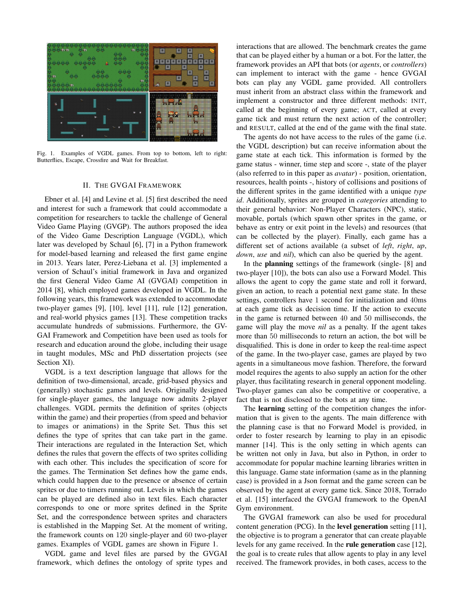

Fig. 1. Examples of VGDL games. From top to bottom, left to right: Butterflies, Escape, Crossfire and Wait for Breakfast.

#### II. THE GVGAI FRAMEWORK

Ebner et al. [4] and Levine et al. [5] first described the need and interest for such a framework that could accommodate a competition for researchers to tackle the challenge of General Video Game Playing (GVGP). The authors proposed the idea of the Video Game Description Language (VGDL), which later was developed by Schaul [6], [7] in a Python framework for model-based learning and released the first game engine in 2013. Years later, Perez-Liebana et al. [3] implemented a version of Schaul's initial framework in Java and organized the first General Video Game AI (GVGAI) competition in 2014 [8], which employed games developed in VGDL. In the following years, this framework was extended to accommodate two-player games [9], [10], level [11], rule [12] generation, and real-world physics games [13]. These competition tracks accumulate hundreds of submissions. Furthermore, the GV-GAI Framework and Competition have been used as tools for research and education around the globe, including their usage in taught modules, MSc and PhD dissertation projects (see Section XI).

VGDL is a text description language that allows for the definition of two-dimensional, arcade, grid-based physics and (generally) stochastic games and levels. Originally designed for single-player games, the language now admits 2-player challenges. VGDL permits the definition of sprites (objects within the game) and their properties (from speed and behavior to images or animations) in the Sprite Set. Thus this set defines the type of sprites that can take part in the game. Their interactions are regulated in the Interaction Set, which defines the rules that govern the effects of two sprites colliding with each other. This includes the specification of score for the games. The Termination Set defines how the game ends, which could happen due to the presence or absence of certain sprites or due to timers running out. Levels in which the games can be played are defined also in text files. Each character corresponds to one or more sprites defined in the Sprite Set, and the correspondence between sprites and characters is established in the Mapping Set. At the moment of writing, the framework counts on 120 single-player and 60 two-player games. Examples of VGDL games are shown in Figure 1.

VGDL game and level files are parsed by the GVGAI framework, which defines the ontology of sprite types and interactions that are allowed. The benchmark creates the game that can be played either by a human or a bot. For the latter, the framework provides an API that bots (or *agents*, or *controllers*) can implement to interact with the game - hence GVGAI bots can play any VGDL game provided. All controllers must inherit from an abstract class within the framework and implement a constructor and three different methods: INIT, called at the beginning of every game; ACT, called at every game tick and must return the next action of the controller; and RESULT, called at the end of the game with the final state.

The agents do not have access to the rules of the game (i.e. the VGDL description) but can receive information about the game state at each tick. This information is formed by the game status - winner, time step and score -, state of the player (also referred to in this paper as *avatar*) - position, orientation, resources, health points -, history of collisions and positions of the different sprites in the game identified with a unique *type id*. Additionally, sprites are grouped in *categories* attending to their general behavior: Non-Player Characters (NPC), static, movable, portals (which spawn other sprites in the game, or behave as entry or exit point in the levels) and resources (that can be collected by the player). Finally, each game has a different set of actions available (a subset of *left*, *right*, *up*, *down*, *use* and *nil*), which can also be queried by the agent.

In the planning settings of the framework (single- [8] and two-player [10]), the bots can also use a Forward Model. This allows the agent to copy the game state and roll it forward, given an action, to reach a potential next game state. In these settings, controllers have 1 second for initialization and 40ms at each game tick as decision time. If the action to execute in the game is returned between 40 and 50 milliseconds, the game will play the move *nil* as a penalty. If the agent takes more than 50 milliseconds to return an action, the bot will be disqualified. This is done in order to keep the real-time aspect of the game. In the two-player case, games are played by two agents in a simultaneous move fashion. Therefore, the forward model requires the agents to also supply an action for the other player, thus facilitating research in general opponent modeling. Two-player games can also be competitive or cooperative, a fact that is not disclosed to the bots at any time.

The learning setting of the competition changes the information that is given to the agents. The main difference with the planning case is that no Forward Model is provided, in order to foster research by learning to play in an episodic manner [14]. This is the only setting in which agents can be written not only in Java, but also in Python, in order to accommodate for popular machine learning libraries written in this language. Game state information (same as in the planning case) is provided in a Json format and the game screen can be observed by the agent at every game tick. Since 2018, Torrado et al. [15] interfaced the GVGAI framework to the OpenAI Gym environment.

The GVGAI framework can also be used for procedural content generation (PCG). In the level generation setting [11], the objective is to program a generator that can create playable levels for any game received. In the rule generation case [12], the goal is to create rules that allow agents to play in any level received. The framework provides, in both cases, access to the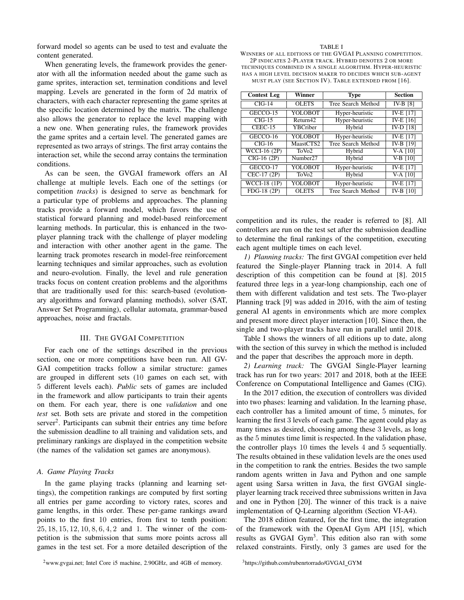forward model so agents can be used to test and evaluate the content generated.

When generating levels, the framework provides the generator with all the information needed about the game such as game sprites, interaction set, termination conditions and level mapping. Levels are generated in the form of 2d matrix of characters, with each character representing the game sprites at the specific location determined by the matrix. The challenge also allows the generator to replace the level mapping with a new one. When generating rules, the framework provides the game sprites and a certain level. The generated games are represented as two arrays of strings. The first array contains the interaction set, while the second array contains the termination conditions.

As can be seen, the GVGAI framework offers an AI challenge at multiple levels. Each one of the settings (or competition *tracks*) is designed to serve as benchmark for a particular type of problems and approaches. The planning tracks provide a forward model, which favors the use of statistical forward planning and model-based reinforcement learning methods. In particular, this is enhanced in the twoplayer planning track with the challenge of player modeling and interaction with other another agent in the game. The learning track promotes research in model-free reinforcement learning techniques and similar approaches, such as evolution and neuro-evolution. Finally, the level and rule generation tracks focus on content creation problems and the algorithms that are traditionally used for this: search-based (evolutionary algorithms and forward planning methods), solver (SAT, Answer Set Programming), cellular automata, grammar-based approaches, noise and fractals.

## III. THE GVGAI COMPETITION

For each one of the settings described in the previous section, one or more competitions have been run. All GV-GAI competition tracks follow a similar structure: games are grouped in different sets (10 games on each set, with 5 different levels each). *Public* sets of games are included in the framework and allow participants to train their agents on them. For each year, there is one *validation* and one *test* set. Both sets are private and stored in the competition server<sup>2</sup>. Participants can submit their entries any time before the submission deadline to all training and validation sets, and preliminary rankings are displayed in the competition website (the names of the validation set games are anonymous).

## *A. Game Playing Tracks*

In the game playing tracks (planning and learning settings), the competition rankings are computed by first sorting all entries per game according to victory rates, scores and game lengths, in this order. These per-game rankings award points to the first 10 entries, from first to tenth position: 25, 18, 15, 12, 10, 8, 6, 4, 2 and 1. The winner of the competition is the submission that sums more points across all games in the test set. For a more detailed description of the

## <sup>2</sup>www.gvgai.net; Intel Core i5 machine, 2.90GHz, and 4GB of memory.

<sup>3</sup>https://github.com/rubenrtorrado/GVGAI\_GYM

#### TABLE I

WINNERS OF ALL EDITIONS OF THE GVGAI PLANNING COMPETITION. 2P INDICATES 2-PLAYER TRACK. HYBRID DENOTES 2 OR MORE TECHNIQUES COMBINED IN A SINGLE ALGORITHM. HYPER-HEURISTIC HAS A HIGH LEVEL DECISION MAKER TO DECIDES WHICH SUB-AGENT MUST PLAY (SEE SECTION IV). TABLE EXTENDED FROM [16].

| <b>Contest Leg</b>       | Winner               | <b>Type</b>        | <b>Section</b>       |  |  |
|--------------------------|----------------------|--------------------|----------------------|--|--|
| $CIG-14$                 | <b>OLETS</b>         | Tree Search Method | IV-B [8]             |  |  |
| GECCO-15                 | YOLOBOT              | Hyper-heuristic    | IV-E [17]            |  |  |
| $\overline{CIG-15}$      | Return42             | Hyper-heuristic    | $IV-E$ [16]          |  |  |
| CEEC-15                  | YBCriber             | Hybrid             | IV-D [18]            |  |  |
| GECCO-16                 | YOLOBOT              | Hyper-heuristic    | IV-E [17]            |  |  |
| $CIG-16$                 | MaastCTS2            | Tree Search Method | IV-B [19]            |  |  |
| WCCI-16 (2P)             | ToVo <sub>2</sub>    | Hybrid             | $V-A$ [10]           |  |  |
| $\overline{ClG-16}$ (2P) | Number <sub>27</sub> | Hybrid             | $V-B$ [10]           |  |  |
| GECCO-17                 | YOLOBOT              | Hyper-heuristic    | <b>IV-E</b> [17]     |  |  |
| CEC-17 (2P)              | ToVo <sub>2</sub>    | Hybrid             | $\overline{VA}$ [10] |  |  |
| <b>WCCI-18 (1P)</b>      | YOLOBOT              | Hyper-heuristic    | <b>IV-E [17]</b>     |  |  |
| FDG-18 (2P)              | <b>OLETS</b>         | Tree Search Method | IV-B [10]            |  |  |

competition and its rules, the reader is referred to [8]. All controllers are run on the test set after the submission deadline to determine the final rankings of the competition, executing each agent multiple times on each level.

*1) Planning tracks:* The first GVGAI competition ever held featured the Single-player Planning track in 2014. A full description of this competition can be found at [8]. 2015 featured three legs in a year-long championship, each one of them with different validation and test sets. The Two-player Planning track [9] was added in 2016, with the aim of testing general AI agents in environments which are more complex and present more direct player interaction [10]. Since then, the single and two-player tracks have run in parallel until 2018.

Table I shows the winners of all editions up to date, along with the section of this survey in which the method is included and the paper that describes the approach more in depth.

*2) Learning track:* The GVGAI Single-Player learning track has run for two years: 2017 and 2018, both at the IEEE Conference on Computational Intelligence and Games (CIG).

In the 2017 edition, the execution of controllers was divided into two phases: learning and validation. In the learning phase, each controller has a limited amount of time, 5 minutes, for learning the first 3 levels of each game. The agent could play as many times as desired, choosing among these 3 levels, as long as the 5 minutes time limit is respected. In the validation phase, the controller plays 10 times the levels 4 and 5 sequentially. The results obtained in these validation levels are the ones used in the competition to rank the entries. Besides the two sample random agents written in Java and Python and one sample agent using Sarsa written in Java, the first GVGAI singleplayer learning track received three submissions written in Java and one in Python [20]. The winner of this track is a naive implementation of Q-Learning algorithm (Section VI-A4).

The 2018 edition featured, for the first time, the integration of the framework with the OpenAI Gym API [15], which results as GVGAI Gym<sup>3</sup>. This edition also ran with some relaxed constraints. Firstly, only 3 games are used for the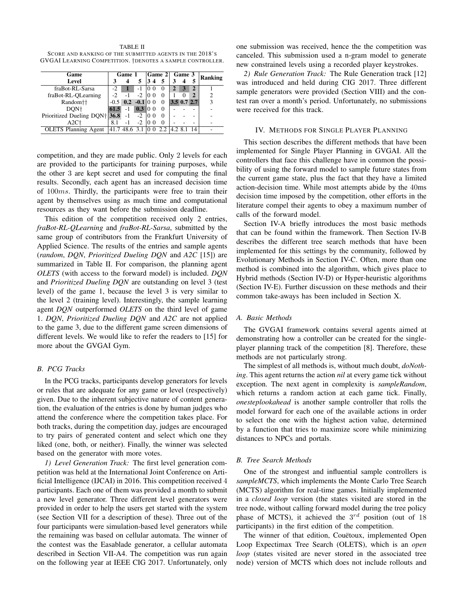TABLE II SCORE AND RANKING OF THE SUBMITTED AGENTS IN THE 2018'S GVGAI LEARNING COMPETITION. †DENOTES A SAMPLE CONTROLLER.

| Game                        | Game 1 |                       |        |                         | $ Game 2 $ Game 3 |               | Ranking |   |   |
|-----------------------------|--------|-----------------------|--------|-------------------------|-------------------|---------------|---------|---|---|
| Level                       |        |                       |        | $\overline{\mathbf{4}}$ | 5                 |               |         | 5 |   |
| fraBot-RL-Sarsa             | $-2$   |                       |        |                         | $\theta$          |               |         |   |   |
| fraBot-RL-QLearning         |        |                       | $-2$   | 10 O                    | 0                 |               |         | 2 |   |
| Random††                    |        | $-0.5$ 0.2 $-0.1$ 0 0 |        |                         | $\Omega$          | $3.5$ 0.7 2.7 |         |   | 3 |
| DON <sup>+</sup>            | 61.5   | $-1$                  | 0.3 00 |                         | $\Omega$          |               |         |   |   |
| Prioritized Dueling DQN†    | 36.8   | -1                    | $-2$   | 10 0                    | $\Omega$          |               |         |   |   |
| $A2C+$                      | 81     | - 1                   |        |                         | $\Omega$          |               |         |   |   |
| <b>OLETS</b> Planning Agent |        | 41.7 48.6 3.1         |        |                         | 2.2               |               |         |   |   |

competition, and they are made public. Only 2 levels for each are provided to the participants for training purposes, while the other 3 are kept secret and used for computing the final results. Secondly, each agent has an increased decision time of 100ms. Thirdly, the participants were free to train their agent by themselves using as much time and computational resources as they want before the submission deadline.

This edition of the competition received only 2 entries, *fraBot-RL-QLearning* and *fraBot-RL-Sarsa*, submitted by the same group of contributors from the Frankfurt University of Applied Science. The results of the entries and sample agents (*random*, *DQN*, *Prioritized Dueling DQN* and *A2C* [15]) are summarized in Table II. For comparison, the planning agent *OLETS* (with access to the forward model) is included. *DQN* and *Prioritized Dueling DQN* are outstanding on level 3 (test level) of the game 1, because the level 3 is very similar to the level 2 (training level). Interestingly, the sample learning agent *DQN* outperformed *OLETS* on the third level of game 1. *DQN*, *Prioritized Dueling DQN* and *A2C* are not applied to the game 3, due to the different game screen dimensions of different levels. We would like to refer the readers to [15] for more about the GVGAI Gym.

## *B. PCG Tracks*

In the PCG tracks, participants develop generators for levels or rules that are adequate for any game or level (respectively) given. Due to the inherent subjective nature of content generation, the evaluation of the entries is done by human judges who attend the conference where the competition takes place. For both tracks, during the competition day, judges are encouraged to try pairs of generated content and select which one they liked (one, both, or neither). Finally, the winner was selected based on the generator with more votes.

*1) Level Generation Track:* The first level generation competition was held at the International Joint Conference on Artificial Intelligence (IJCAI) in 2016. This competition received 4 participants. Each one of them was provided a month to submit a new level generator. Three different level generators were provided in order to help the users get started with the system (see Section VII for a description of these). Three out of the four participants were simulation-based level generators while the remaining was based on cellular automata. The winner of the contest was the Easablade generator, a cellular automata described in Section VII-A4. The competition was run again on the following year at IEEE CIG 2017. Unfortunately, only

one submission was received, hence the the competition was canceled. This submission used a n-gram model to generate new constrained levels using a recorded player keystrokes.

*2) Rule Generation Track:* The Rule Generation track [12] was introduced and held during CIG 2017. Three different sample generators were provided (Section VIII) and the contest ran over a month's period. Unfortunately, no submissions were received for this track.

## IV. METHODS FOR SINGLE PLAYER PLANNING

This section describes the different methods that have been implemented for Single Player Planning in GVGAI. All the controllers that face this challenge have in common the possibility of using the forward model to sample future states from the current game state, plus the fact that they have a limited action-decision time. While most attempts abide by the 40ms decision time imposed by the competition, other efforts in the literature compel their agents to obey a maximum number of calls of the forward model.

Section IV-A briefly introduces the most basic methods that can be found within the framework. Then Section IV-B describes the different tree search methods that have been implemented for this settings by the community, followed by Evolutionary Methods in Section IV-C. Often, more than one method is combined into the algorithm, which gives place to Hybrid methods (Section IV-D) or Hyper-heuristic algorithms (Section IV-E). Further discussion on these methods and their common take-aways has been included in Section X.

#### *A. Basic Methods*

The GVGAI framework contains several agents aimed at demonstrating how a controller can be created for the singleplayer planning track of the competition [8]. Therefore, these methods are not particularly strong.

The simplest of all methods is, without much doubt, *doNothing*. This agent returns the action *nil* at every game tick without exception. The next agent in complexity is *sampleRandom*, which returns a random action at each game tick. Finally, *onesteplookahead* is another sample controller that rolls the model forward for each one of the available actions in order to select the one with the highest action value, determined by a function that tries to maximize score while minimizing distances to NPCs and portals.

#### *B. Tree Search Methods*

One of the strongest and influential sample controllers is *sampleMCTS*, which implements the Monte Carlo Tree Search (MCTS) algorithm for real-time games. Initially implemented in a *closed loop* version (the states visited are stored in the tree node, without calling forward model during the tree policy phase of MCTS), it achieved the  $3^{rd}$  position (out of 18 participants) in the first edition of the competition.

The winner of that edition, Couetoux, implemented Open Loop Expectimax Tree Search (OLETS), which is an *open loop* (states visited are never stored in the associated tree node) version of MCTS which does not include rollouts and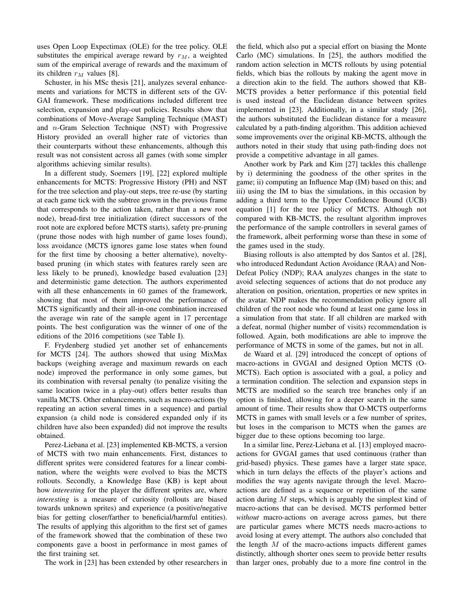uses Open Loop Expectimax (OLE) for the tree policy. OLE substitutes the empirical average reward by  $r_M$ , a weighted sum of the empirical average of rewards and the maximum of its children  $r_M$  values [8].

Schuster, in his MSc thesis [21], analyzes several enhancements and variations for MCTS in different sets of the GV-GAI framework. These modifications included different tree selection, expansion and play-out policies. Results show that combinations of Move-Average Sampling Technique (MAST) and n-Gram Selection Technique (NST) with Progressive History provided an overall higher rate of victories than their counterparts without these enhancements, although this result was not consistent across all games (with some simpler algorithms achieving similar results).

In a different study, Soemers [19], [22] explored multiple enhancements for MCTS: Progressive History (PH) and NST for the tree selection and play-out steps, tree re-use (by starting at each game tick with the subtree grown in the previous frame that corresponds to the action taken, rather than a new root node), bread-first tree initialization (direct successors of the root note are explored before MCTS starts), safety pre-pruning (prune those nodes with high number of game loses found), loss avoidance (MCTS ignores game lose states when found for the first time by choosing a better alternative), noveltybased pruning (in which states with features rarely seen are less likely to be pruned), knowledge based evaluation [23] and deterministic game detection. The authors experimented with all these enhancements in 60 games of the framework, showing that most of them improved the performance of MCTS significantly and their all-in-one combination increased the average win rate of the sample agent in 17 percentage points. The best configuration was the winner of one of the editions of the 2016 competitions (see Table I).

F. Frydenberg studied yet another set of enhancements for MCTS [24]. The authors showed that using MixMax backups (weighing average and maximum rewards on each node) improved the performance in only some games, but its combination with reversal penalty (to penalize visiting the same location twice in a play-out) offers better results than vanilla MCTS. Other enhancements, such as macro-actions (by repeating an action several times in a sequence) and partial expansion (a child node is considered expanded only if its children have also been expanded) did not improve the results obtained.

Perez-Liebana et al. [23] implemented KB-MCTS, a version of MCTS with two main enhancements. First, distances to different sprites were considered features for a linear combination, where the weights were evolved to bias the MCTS rollouts. Secondly, a Knowledge Base (KB) is kept about how *interesting* for the player the different sprites are, where *interesting* is a measure of curiosity (rollouts are biased towards unknown sprites) and experience (a positive/negative bias for getting closer/farther to beneficial/harmful entities). The results of applying this algorithm to the first set of games of the framework showed that the combination of these two components gave a boost in performance in most games of the first training set.

The work in [23] has been extended by other researchers in

the field, which also put a special effort on biasing the Monte Carlo (MC) simulations. In [25], the authors modified the random action selection in MCTS rollouts by using potential fields, which bias the rollouts by making the agent move in a direction akin to the field. The authors showed that KB-MCTS provides a better performance if this potential field is used instead of the Euclidean distance between sprites implemented in [23]. Additionally, in a similar study [26], the authors substituted the Euclidean distance for a measure calculated by a path-finding algorithm. This addition achieved some improvements over the original KB-MCTS, although the authors noted in their study that using path-finding does not provide a competitive advantage in all games.

Another work by Park and Kim [27] tackles this challenge by i) determining the goodness of the other sprites in the game; ii) computing an Influence Map (IM) based on this; and iii) using the IM to bias the simulations, in this occasion by adding a third term to the Upper Confidence Bound (UCB) equation [1] for the tree policy of MCTS. Although not compared with KB-MCTS, the resultant algorithm improves the performance of the sample controllers in several games of the framework, albeit performing worse than these in some of the games used in the study.

Biasing rollouts is also attempted by dos Santos et al. [28], who introduced Redundant Action Avoidance (RAA) and Non-Defeat Policy (NDP); RAA analyzes changes in the state to avoid selecting sequences of actions that do not produce any alteration on position, orientation, properties or new sprites in the avatar. NDP makes the recommendation policy ignore all children of the root node who found at least one game loss in a simulation from that state. If all children are marked with a defeat, normal (higher number of visits) recommendation is followed. Again, both modifications are able to improve the performance of MCTS in some of the games, but not in all.

de Waard et al. [29] introduced the concept of options of macro-actions in GVGAI and designed Option MCTS (O-MCTS). Each option is associated with a goal, a policy and a termination condition. The selection and expansion steps in MCTS are modified so the search tree branches only if an option is finished, allowing for a deeper search in the same amount of time. Their results show that O-MCTS outperforms MCTS in games with small levels or a few number of sprites, but loses in the comparison to MCTS when the games are bigger due to these options becoming too large.

In a similar line, Perez-Liebana et al. [13] employed macroactions for GVGAI games that used continuous (rather than grid-based) physics. These games have a larger state space, which in turn delays the effects of the player's actions and modifies the way agents navigate through the level. Macroactions are defined as a sequence or repetition of the same action during  $M$  steps, which is arguably the simplest kind of macro-actions that can be devised. MCTS performed better *without* macro-actions on average across games, but there are particular games where MCTS needs macro-actions to avoid losing at every attempt. The authors also concluded that the length  $M$  of the macro-actions impacts different games distinctly, although shorter ones seem to provide better results than larger ones, probably due to a more fine control in the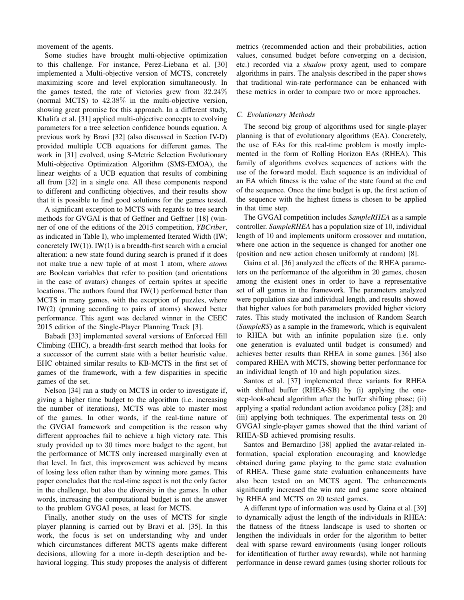movement of the agents.

Some studies have brought multi-objective optimization to this challenge. For instance, Perez-Liebana et al. [30] implemented a Multi-objective version of MCTS, concretely maximizing score and level exploration simultaneously. In the games tested, the rate of victories grew from 32.24% (normal MCTS) to 42.38% in the multi-objective version, showing great promise for this approach. In a different study, Khalifa et al. [31] applied multi-objective concepts to evolving parameters for a tree selection confidence bounds equation. A previous work by Bravi [32] (also discussed in Section IV-D) provided multiple UCB equations for different games. The work in [31] evolved, using S-Metric Selection Evolutionary Multi-objective Optimization Algorithm (SMS-EMOA), the linear weights of a UCB equation that results of combining all from [32] in a single one. All these components respond to different and conflicting objectives, and their results show that it is possible to find good solutions for the games tested.

A significant exception to MCTS with regards to tree search methods for GVGAI is that of Geffner and Geffner [18] (winner of one of the editions of the 2015 competition, *YBCriber*, as indicated in Table I), who implemented Iterated Width (IW; concretely  $IW(1)$ ).  $IW(1)$  is a breadth-first search with a crucial alteration: a new state found during search is pruned if it does not make true a new tuple of at most 1 atom, where *atoms* are Boolean variables that refer to position (and orientations in the case of avatars) changes of certain sprites at specific locations. The authors found that IW(1) performed better than MCTS in many games, with the exception of puzzles, where IW(2) (pruning according to pairs of atoms) showed better performance. This agent was declared winner in the CEEC 2015 edition of the Single-Player Planning Track [3].

Babadi [33] implemented several versions of Enforced Hill Climbing (EHC), a breadth-first search method that looks for a successor of the current state with a better heuristic value. EHC obtained similar results to KB-MCTS in the first set of games of the framework, with a few disparities in specific games of the set.

Nelson [34] ran a study on MCTS in order to investigate if, giving a higher time budget to the algorithm (i.e. increasing the number of iterations), MCTS was able to master most of the games. In other words, if the real-time nature of the GVGAI framework and competition is the reason why different approaches fail to achieve a high victory rate. This study provided up to 30 times more budget to the agent, but the performance of MCTS only increased marginally even at that level. In fact, this improvement was achieved by means of losing less often rather than by winning more games. This paper concludes that the real-time aspect is not the only factor in the challenge, but also the diversity in the games. In other words, increasing the computational budget is not the answer to the problem GVGAI poses, at least for MCTS.

Finally, another study on the uses of MCTS for single player planning is carried out by Bravi et al. [35]. In this work, the focus is set on understanding why and under which circumstances different MCTS agents make different decisions, allowing for a more in-depth description and behavioral logging. This study proposes the analysis of different metrics (recommended action and their probabilities, action values, consumed budget before converging on a decision, etc.) recorded via a *shadow* proxy agent, used to compare algorithms in pairs. The analysis described in the paper shows that traditional win-rate performance can be enhanced with these metrics in order to compare two or more approaches.

## *C. Evolutionary Methods*

The second big group of algorithms used for single-player planning is that of evolutionary algorithms (EA). Concretely, the use of EAs for this real-time problem is mostly implemented in the form of Rolling Horizon EAs (RHEA). This family of algorithms evolves sequences of actions with the use of the forward model. Each sequence is an individual of an EA which fitness is the value of the state found at the end of the sequence. Once the time budget is up, the first action of the sequence with the highest fitness is chosen to be applied in that time step.

The GVGAI competition includes *SampleRHEA* as a sample controller. *SampleRHEA* has a population size of 10, individual length of 10 and implements uniform crossover and mutation, where one action in the sequence is changed for another one (position and new action chosen uniformly at random) [8].

Gaina et al. [36] analyzed the effects of the RHEA parameters on the performance of the algorithm in 20 games, chosen among the existent ones in order to have a representative set of all games in the framework. The parameters analyzed were population size and individual length, and results showed that higher values for both parameters provided higher victory rates. This study motivated the inclusion of Random Search (*SampleRS*) as a sample in the framework, which is equivalent to RHEA but with an infinite population size (i.e. only one generation is evaluated until budget is consumed) and achieves better results than RHEA in some games. [36] also compared RHEA with MCTS, showing better performance for an individual length of 10 and high population sizes.

Santos et al. [37] implemented three variants for RHEA with shifted buffer (RHEA-SB) by (i) applying the onestep-look-ahead algorithm after the buffer shifting phase; (ii) applying a spatial redundant action avoidance policy [28]; and (iii) applying both techniques. The experimental tests on 20 GVGAI single-player games showed that the third variant of RHEA-SB achieved promising results.

Santos and Bernardino [38] applied the avatar-related information, spacial exploration encouraging and knowledge obtained during game playing to the game state evaluation of RHEA. These game state evaluation enhancements have also been tested on an MCTS agent. The enhancements significantly increased the win rate and game score obtained by RHEA and MCTS on 20 tested games.

A different type of information was used by Gaina et al. [39] to dynamically adjust the length of the individuals in RHEA: the flatness of the fitness landscape is used to shorten or lengthen the individuals in order for the algorithm to better deal with sparse reward environments (using longer rollouts for identification of further away rewards), while not harming performance in dense reward games (using shorter rollouts for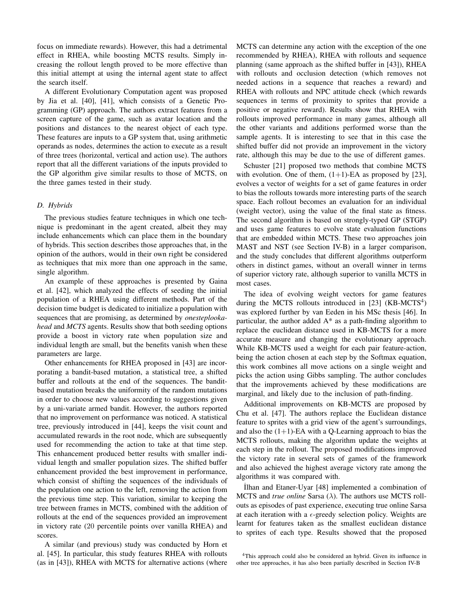focus on immediate rewards). However, this had a detrimental effect in RHEA, while boosting MCTS results. Simply increasing the rollout length proved to be more effective than this initial attempt at using the internal agent state to affect the search itself.

A different Evolutionary Computation agent was proposed by Jia et al. [40], [41], which consists of a Genetic Programming (GP) approach. The authors extract features from a screen capture of the game, such as avatar location and the positions and distances to the nearest object of each type. These features are inputs to a GP system that, using arithmetic operands as nodes, determines the action to execute as a result of three trees (horizontal, vertical and action use). The authors report that all the different variations of the inputs provided to the GP algorithm give similar results to those of MCTS, on the three games tested in their study.

## *D. Hybrids*

The previous studies feature techniques in which one technique is predominant in the agent created, albeit they may include enhancements which can place them in the boundary of hybrids. This section describes those approaches that, in the opinion of the authors, would in their own right be considered as techniques that mix more than one approach in the same, single algorithm.

An example of these approaches is presented by Gaina et al. [42], which analyzed the effects of seeding the initial population of a RHEA using different methods. Part of the decision time budget is dedicated to initialize a population with sequences that are promising, as determined by *onesteplookahead* and *MCTS* agents. Results show that both seeding options provide a boost in victory rate when population size and individual length are small, but the benefits vanish when these parameters are large.

Other enhancements for RHEA proposed in [43] are incorporating a bandit-based mutation, a statistical tree, a shifted buffer and rollouts at the end of the sequences. The banditbased mutation breaks the uniformity of the random mutations in order to choose new values according to suggestions given by a uni-variate armed bandit. However, the authors reported that no improvement on performance was noticed. A statistical tree, previously introduced in [44], keeps the visit count and accumulated rewards in the root node, which are subsequently used for recommending the action to take at that time step. This enhancement produced better results with smaller individual length and smaller population sizes. The shifted buffer enhancement provided the best improvement in performance, which consist of shifting the sequences of the individuals of the population one action to the left, removing the action from the previous time step. This variation, similar to keeping the tree between frames in MCTS, combined with the addition of rollouts at the end of the sequences provided an improvement in victory rate (20 percentile points over vanilla RHEA) and scores.

A similar (and previous) study was conducted by Horn et al. [45]. In particular, this study features RHEA with rollouts (as in [43]), RHEA with MCTS for alternative actions (where

MCTS can determine any action with the exception of the one recommended by RHEA), RHEA with rollouts and sequence planning (same approach as the shifted buffer in [43]), RHEA with rollouts and occlusion detection (which removes not needed actions in a sequence that reaches a reward) and RHEA with rollouts and NPC attitude check (which rewards sequences in terms of proximity to sprites that provide a positive or negative reward). Results show that RHEA with rollouts improved performance in many games, although all the other variants and additions performed worse than the sample agents. It is interesting to see that in this case the shifted buffer did not provide an improvement in the victory rate, although this may be due to the use of different games.

Schuster [21] proposed two methods that combine MCTS with evolution. One of them,  $(1+1)$ -EA as proposed by [23], evolves a vector of weights for a set of game features in order to bias the rollouts towards more interesting parts of the search space. Each rollout becomes an evaluation for an individual (weight vector), using the value of the final state as fitness. The second algorithm is based on strongly-typed GP (STGP) and uses game features to evolve state evaluation functions that are embedded within MCTS. These two approaches join MAST and NST (see Section IV-B) in a larger comparison, and the study concludes that different algorithms outperform others in distinct games, without an overall winner in terms of superior victory rate, although superior to vanilla MCTS in most cases.

The idea of evolving weight vectors for game features during the MCTS rollouts introduced in [23] (KB-MCTS<sup>4</sup>) was explored further by van Eeden in his MSc thesis [46]. In particular, the author added A\* as a path-finding algorithm to replace the euclidean distance used in KB-MCTS for a more accurate measure and changing the evolutionary approach. While KB-MCTS used a weight for each pair feature-action, being the action chosen at each step by the Softmax equation, this work combines all move actions on a single weight and picks the action using Gibbs sampling. The author concludes that the improvements achieved by these modifications are marginal, and likely due to the inclusion of path-finding.

Additional improvements on KB-MCTS are proposed by Chu et al. [47]. The authors replace the Euclidean distance feature to sprites with a grid view of the agent's surroundings, and also the  $(1+1)$ -EA with a Q-Learning approach to bias the MCTS rollouts, making the algorithm update the weights at each step in the rollout. The proposed modifications improved the victory rate in several sets of games of the framework and also achieved the highest average victory rate among the algorithms it was compared with.

˙Ilhan and Etaner-Uyar [48] implemented a combination of MCTS and *true online* Sarsa (λ). The authors use MCTS rollouts as episodes of past experience, executing true online Sarsa at each iteration with a  $\epsilon$ -greedy selection policy. Weights are learnt for features taken as the smallest euclidean distance to sprites of each type. Results showed that the proposed

<sup>4</sup>This approach could also be considered an hybrid. Given its influence in other tree approaches, it has also been partially described in Section IV-B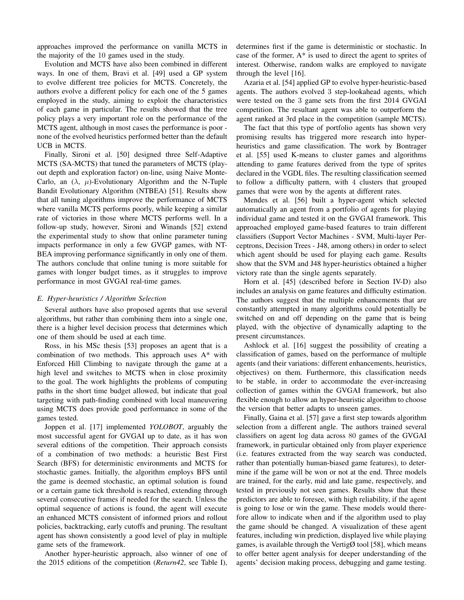approaches improved the performance on vanilla MCTS in the majority of the 10 games used in the study.

Evolution and MCTS have also been combined in different ways. In one of them, Bravi et al. [49] used a GP system to evolve different tree policies for MCTS. Concretely, the authors evolve a different policy for each one of the 5 games employed in the study, aiming to exploit the characteristics of each game in particular. The results showed that the tree policy plays a very important role on the performance of the MCTS agent, although in most cases the performance is poor none of the evolved heuristics performed better than the default UCB in MCTS.

Finally, Sironi et al. [50] designed three Self-Adaptive MCTS (SA-MCTS) that tuned the parameters of MCTS (playout depth and exploration factor) on-line, using Naive Monte-Carlo, an  $(\lambda, \mu)$ -Evolutionary Algorithm and the N-Tuple Bandit Evolutionary Algorithm (NTBEA) [51]. Results show that all tuning algorithms improve the performance of MCTS where vanilla MCTS performs poorly, while keeping a similar rate of victories in those where MCTS performs well. In a follow-up study, however, Sironi and Winands [52] extend the experimental study to show that online parameter tuning impacts performance in only a few GVGP games, with NT-BEA improving performance significantly in only one of them. The authors conclude that online tuning is more suitable for games with longer budget times, as it struggles to improve performance in most GVGAI real-time games.

## *E. Hyper-heuristics / Algorithm Selection*

Several authors have also proposed agents that use several algorithms, but rather than combining them into a single one, there is a higher level decision process that determines which one of them should be used at each time.

Ross, in his MSc thesis [53] proposes an agent that is a combination of two methods. This approach uses A\* with Enforced Hill Climbing to navigate through the game at a high level and switches to MCTS when in close proximity to the goal. The work highlights the problems of computing paths in the short time budget allowed, but indicate that goal targeting with path-finding combined with local maneuvering using MCTS does provide good performance in some of the games tested.

Joppen et al. [17] implemented *YOLOBOT*, arguably the most successful agent for GVGAI up to date, as it has won several editions of the competition. Their approach consists of a combination of two methods: a heuristic Best First Search (BFS) for deterministic environments and MCTS for stochastic games. Initially, the algorithm employs BFS until the game is deemed stochastic, an optimal solution is found or a certain game tick threshold is reached, extending through several consecutive frames if needed for the search. Unless the optimal sequence of actions is found, the agent will execute an enhanced MCTS consistent of informed priors and rollout policies, backtracking, early cutoffs and pruning. The resultant agent has shown consistently a good level of play in multiple game sets of the framework.

Another hyper-heuristic approach, also winner of one of the 2015 editions of the competition (*Return42*, see Table I), determines first if the game is deterministic or stochastic. In case of the former,  $A^*$  is used to direct the agent to sprites of interest. Otherwise, random walks are employed to navigate through the level [16].

Azaria et al. [54] applied GP to evolve hyper-heuristic-based agents. The authors evolved 3 step-lookahead agents, which were tested on the 3 game sets from the first 2014 GVGAI competition. The resultant agent was able to outperform the agent ranked at 3rd place in the competition (sample MCTS).

The fact that this type of portfolio agents has shown very promising results has triggered more research into hyperheuristics and game classification. The work by Bontrager et al. [55] used K-means to cluster games and algorithms attending to game features derived from the type of sprites declared in the VGDL files. The resulting classification seemed to follow a difficulty pattern, with 4 clusters that grouped games that were won by the agents at different rates.

Mendes et al. [56] built a hyper-agent which selected automatically an agent from a portfolio of agents for playing individual game and tested it on the GVGAI framework. This approached employed game-based features to train different classifiers (Support Vector Machines - SVM, Multi-layer Perceptrons, Decision Trees - J48, among others) in order to select which agent should be used for playing each game. Results show that the SVM and J48 hyper-heuristics obtained a higher victory rate than the single agents separately.

Horn et al. [45] (described before in Section IV-D) also includes an analysis on game features and difficulty estimation. The authors suggest that the multiple enhancements that are constantly attempted in many algorithms could potentially be switched on and off depending on the game that is being played, with the objective of dynamically adapting to the present circumstances.

Ashlock et al. [16] suggest the possibility of creating a classification of games, based on the performance of multiple agents (and their variations: different enhancements, heuristics, objectives) on them. Furthermore, this classification needs to be stable, in order to accommodate the ever-increasing collection of games within the GVGAI framework, but also flexible enough to allow an hyper-heuristic algorithm to choose the version that better adapts to unseen games.

Finally, Gaina et al. [57] gave a first step towards algorithm selection from a different angle. The authors trained several classifiers on agent log data across 80 games of the GVGAI framework, in particular obtained only from player experience (i.e. features extracted from the way search was conducted, rather than potentially human-biased game features), to determine if the game will be won or not at the end. Three models are trained, for the early, mid and late game, respectively, and tested in previously not seen games. Results show that these predictors are able to foresee, with high reliability, if the agent is going to lose or win the game. These models would therefore allow to indicate when and if the algorithm used to play the game should be changed. A visualization of these agent features, including win prediction, displayed live while playing games, is available through the Vertig $\emptyset$  tool [58], which means to offer better agent analysis for deeper understanding of the agents' decision making process, debugging and game testing.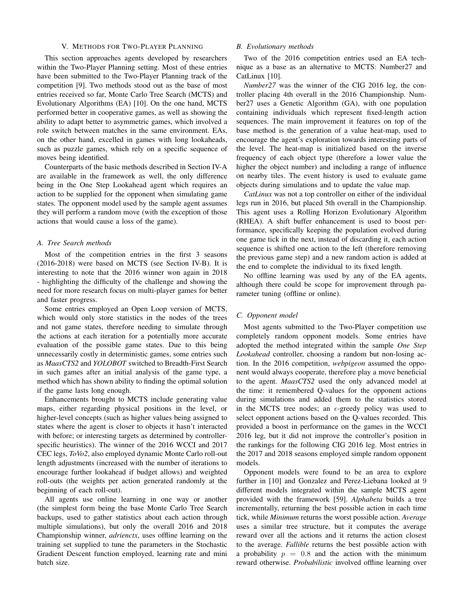## V. METHODS FOR TWO-PLAYER PLANNING

This section approaches agents developed by researchers within the Two-Player Planning setting. Most of these entries have been submitted to the Two-Player Planning track of the competition [9]. Two methods stood out as the base of most entries received so far, Monte Carlo Tree Search (MCTS) and Evolutionary Algorithms (EA) [10]. On the one hand, MCTS performed better in cooperative games, as well as showing the ability to adapt better to asymmetric games, which involved a role switch between matches in the same environment. EAs, on the other hand, excelled in games with long lookaheads, such as puzzle games, which rely on a specific sequence of moves being identified.

Counterparts of the basic methods described in Section IV-A are available in the framework as well, the only difference being in the One Step Lookahead agent which requires an action to be supplied for the opponent when simulating game states. The opponent model used by the sample agent assumes they will perform a random move (with the exception of those actions that would cause a loss of the game).

#### *A. Tree Search methods*

Most of the competition entries in the first 3 seasons (2016-2018) were based on MCTS (see Section IV-B). It is interesting to note that the 2016 winner won again in 2018 - highlighting the difficulty of the challenge and showing the need for more research focus on multi-player games for better and faster progress.

Some entries employed an Open Loop version of MCTS, which would only store statistics in the nodes of the trees and not game states, therefore needing to simulate through the actions at each iteration for a potentially more accurate evaluation of the possible game states. Due to this being unnecessarily costly in deterministic games, some entries such as *MaasCTS2* and *YOLOBOT* switched to Breadth-First Search in such games after an initial analysis of the game type, a method which has shown ability to finding the optimal solution if the game lasts long enough.

Enhancements brought to MCTS include generating value maps, either regarding physical positions in the level, or higher-level concepts (such as higher values being assigned to states where the agent is closer to objects it hasn't interacted with before; or interesting targets as determined by controllerspecific heuristics). The winner of the 2016 WCCI and 2017 CEC legs, *ToVo2*, also employed dynamic Monte Carlo roll-out length adjustments (increased with the number of iterations to encourage further lookahead if budget allows) and weighted roll-outs (the weights per action generated randomly at the beginning of each roll-out).

All agents use online learning in one way or another (the simplest form being the base Monte Carlo Tree Search backups, used to gather statistics about each action through multiple simulations), but only the overall 2016 and 2018 Championship winner, *adrienctx*, uses offline learning on the training set supplied to tune the parameters in the Stochastic Gradient Descent function employed, learning rate and mini batch size.

## *B. Evolutionary methods*

Two of the 2016 competition entries used an EA technique as a base as an alternative to MCTS: Number27 and CatLinux [10].

*Number27* was the winner of the CIG 2016 leg, the controller placing 4th overall in the 2016 Championship. Number27 uses a Genetic Algorithm (GA), with one population containing individuals which represent fixed-length action sequences. The main improvement it features on top of the base method is the generation of a value heat-map, used to encourage the agent's exploration towards interesting parts of the level. The heat-map is initialized based on the inverse frequency of each object type (therefore a lower value the higher the object number) and including a range of influence on nearby tiles. The event history is used to evaluate game objects during simulations and to update the value map.

*CatLinux* was not a top controller on either of the individual legs run in 2016, but placed 5th overall in the Championship. This agent uses a Rolling Horizon Evolutionary Algorithm (RHEA). A shift buffer enhancement is used to boost performance, specifically keeping the population evolved during one game tick in the next, instead of discarding it, each action sequence is shifted one action to the left (therefore removing the previous game step) and a new random action is added at the end to complete the individual to its fixed length.

No offline learning was used by any of the EA agents, although there could be scope for improvement through parameter tuning (offline or online).

#### *C. Opponent model*

Most agents submitted to the Two-Player competition use completely random opponent models. Some entries have adopted the method integrated within the sample *One Step Lookahead* controller, choosing a random but non-losing action. In the 2016 competition, *webpigeon* assumed the opponent would always cooperate, therefore play a move beneficial to the agent. *MaasCTS2* used the only advanced model at the time: it remembered Q-values for the opponent actions during simulations and added them to the statistics stored in the MCTS tree nodes; an  $\epsilon$ -greedy policy was used to select opponent actions based on the Q-values recorded. This provided a boost in performance on the games in the WCCI 2016 leg, but it did not improve the controller's position in the rankings for the following CIG 2016 leg. Most entries in the 2017 and 2018 seasons employed simple random opponent models.

Opponent models were found to be an area to explore further in [10] and Gonzalez and Perez-Liebana looked at 9 different models integrated within the sample MCTS agent provided with the framework [59]. *Alphabeta* builds a tree incrementally, returning the best possible action in each time tick, while *Minimum* returns the worst possible action. *Average* uses a similar tree structure, but it computes the average reward over all the actions and it returns the action closest to the average. *Fallible* returns the best possible action with a probability  $p = 0.8$  and the action with the minimum reward otherwise. *Probabilistic* involved offline learning over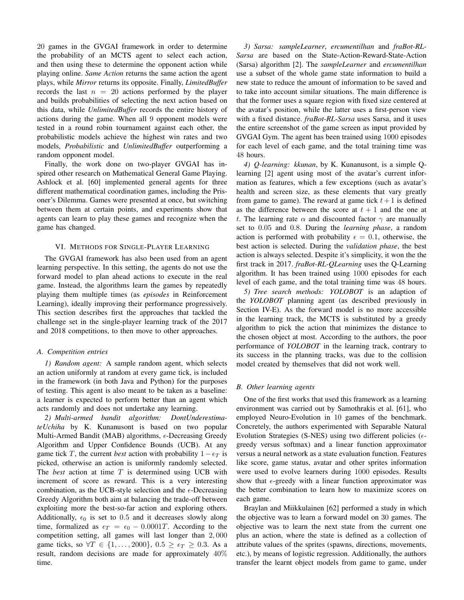20 games in the GVGAI framework in order to determine the probability of an MCTS agent to select each action, and then using these to determine the opponent action while playing online. *Same Action* returns the same action the agent plays, while *Mirror* returns its opposite. Finally, *LimitedBuffer* records the last  $n = 20$  actions performed by the player and builds probabilities of selecting the next action based on this data, while *UnlimitedBuffer* records the entire history of actions during the game. When all 9 opponent models were tested in a round robin tournament against each other, the probabilistic models achieve the highest win rates and two models, *Probabilistic* and *UnlimitedBuffer* outperforming a random opponent model.

Finally, the work done on two-player GVGAI has inspired other research on Mathematical General Game Playing. Ashlock et al. [60] implemented general agents for three different mathematical coordination games, including the Prisoner's Dilemma. Games were presented at once, but switching between them at certain points, and experiments show that agents can learn to play these games and recognize when the game has changed.

## VI. METHODS FOR SINGLE-PLAYER LEARNING

The GVGAI framework has also been used from an agent learning perspective. In this setting, the agents do not use the forward model to plan ahead actions to execute in the real game. Instead, the algorithms learn the games by repeatedly playing them multiple times (as *episodes* in Reinforcement Learning), ideally improving their performance progressively. This section describes first the approaches that tackled the challenge set in the single-player learning track of the 2017 and 2018 competitions, to then move to other approaches.

#### *A. Competition entries*

*1) Random agent:* A sample random agent, which selects an action uniformly at random at every game tick, is included in the framework (in both Java and Python) for the purposes of testing. This agent is also meant to be taken as a baseline: a learner is expected to perform better than an agent which acts randomly and does not undertake any learning.

*2) Multi-armed bandit algorithm: DontUnderestimateUchiha* by K. Kunanusont is based on two popular Multi-Armed Bandit (MAB) algorithms,  $\epsilon$ -Decreasing Greedy Algorithm and Upper Confidence Bounds (UCB). At any game tick T, the current *best* action with probability  $1 - \epsilon_T$  is picked, otherwise an action is uniformly randomly selected. The *best* action at time T is determined using UCB with increment of score as reward. This is a very interesting combination, as the UCB-style selection and the  $\epsilon$ -Decreasing Greedy Algorithm both aim at balancing the trade-off between exploiting more the best-so-far action and exploring others. Additionally,  $\epsilon_0$  is set to 0.5 and it decreases slowly along time, formalized as  $\epsilon_T = \epsilon_0 - 0.0001T$ . According to the competition setting, all games will last longer than 2, 000 game ticks, so  $\forall T \in \{1, ..., 2000\}$ ,  $0.5 \ge \epsilon_T \ge 0.3$ . As a result, random decisions are made for approximately 40% time.

*3) Sarsa: sampleLearner*, *ercumentilhan* and *fraBot-RL-Sarsa* are based on the State-Action-Reward-State-Action (Sarsa) algorithm [2]. The *sampleLearner* and *ercumentilhan* use a subset of the whole game state information to build a new state to reduce the amount of information to be saved and to take into account similar situations. The main difference is that the former uses a square region with fixed size centered at the avatar's position, while the latter uses a first-person view with a fixed distance. *fraBot-RL-Sarsa* uses Sarsa, and it uses the entire screenshot of the game screen as input provided by GVGAI Gym. The agent has been trained using 1000 episodes for each level of each game, and the total training time was 48 hours.

*4) Q-learning: kkunan*, by K. Kunanusont, is a simple Qlearning [2] agent using most of the avatar's current information as features, which a few exceptions (such as avatar's health and screen size, as these elements that vary greatly from game to game). The reward at game tick  $t+1$  is defined as the difference between the score at  $t + 1$  and the one at t. The learning rate  $\alpha$  and discounted factor  $\gamma$  are manually set to 0.05 and 0.8. During the *learning phase*, a random action is performed with probability  $\epsilon = 0.1$ , otherwise, the best action is selected. During the *validation phase*, the best action is always selected. Despite it's simplicity, it won the the first track in 2017. *fraBot-RL-QLearning* uses the Q-Learning algorithm. It has been trained using 1000 episodes for each level of each game, and the total training time was 48 hours.

*5) Tree search methods: YOLOBOT* is an adaption of the *YOLOBOT* planning agent (as described previously in Section IV-E). As the forward model is no more accessible in the learning track, the MCTS is substituted by a greedy algorithm to pick the action that minimizes the distance to the chosen object at most. According to the authors, the poor performance of *YOLOBOT* in the learning track, contrary to its success in the planning tracks, was due to the collision model created by themselves that did not work well.

#### *B. Other learning agents*

One of the first works that used this framework as a learning environment was carried out by Samothrakis et al. [61], who employed Neuro-Evolution in 10 games of the benchmark. Concretely, the authors experimented with Separable Natural Evolution Strategies (S-NES) using two different policies ( $\epsilon$ greedy versus softmax) and a linear function approximator versus a neural network as a state evaluation function. Features like score, game status, avatar and other sprites information were used to evolve learners during 1000 episodes. Results show that  $\epsilon$ -greedy with a linear function approximator was the better combination to learn how to maximize scores on each game.

Braylan and Miikkulainen [62] performed a study in which the objective was to learn a forward model on 30 games. The objective was to learn the next state from the current one plus an action, where the state is defined as a collection of attribute values of the sprites (spawns, directions, movements, etc.), by means of logistic regression. Additionally, the authors transfer the learnt object models from game to game, under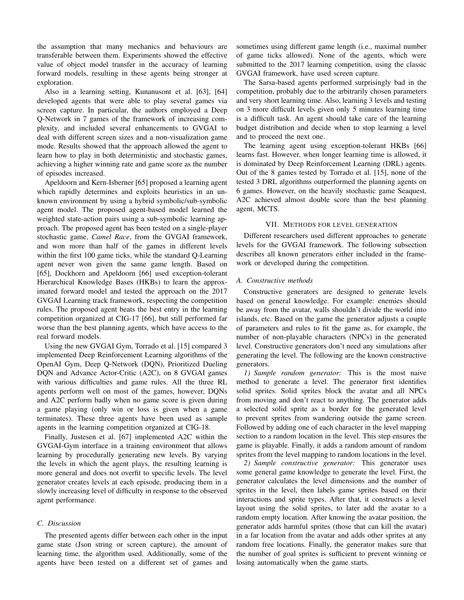the assumption that many mechanics and behaviours are transferable between them. Experiments showed the effective value of object model transfer in the accuracy of learning forward models, resulting in these agents being stronger at exploration.

Also in a learning setting, Kunanusont et al. [63], [64] developed agents that were able to play several games via screen capture. In particular, the authors employed a Deep Q-Network in 7 games of the framework of increasing complexity, and included several enhancements to GVGAI to deal with different screen sizes and a non-visualization game mode. Results showed that the approach allowed the agent to learn how to play in both deterministic and stochastic games, achieving a higher winning rate and game score as the number of episodes increased.

Apeldoorn and Kern-Isberner [65] proposed a learning agent which rapidly determines and exploits heuristics in an unknown environment by using a hybrid symbolic/sub-symbolic agent model. The proposed agent-based model learned the weighted state-action pairs using a sub-symbolic learning approach. The proposed agent has been tested on a single-player stochastic game, *Camel Race*, from the GVGAI framework, and won more than half of the games in different levels within the first 100 game ticks, while the standard Q-Learning agent never won given the same game length. Based on [65], Dockhorn and Apeldoorn [66] used exception-tolerant Hierarchical Knowledge Bases (HKBs) to learn the approximated forward model and tested the approach on the 2017 GVGAI Learning track framework, respecting the competition rules. The proposed agent beats the best entry in the learning competition organized at CIG-17 [66], but still performed far worse than the best planning agents, which have access to the real forward models.

Using the new GVGAI Gym, Torrado et al. [15] compared 3 implemented Deep Reinforcement Learning algorithms of the OpenAI Gym, Deep Q-Network (DQN), Prioritized Dueling DQN and Advance Actor-Critic (A2C), on 8 GVGAI games with various difficulties and game rules. All the three RL agents perform well on most of the games, however, DQNs and A2C perform badly when no game score is given during a game playing (only win or loss is given when a game terminates). These three agents have been used as sample agents in the learning competition organized at CIG-18.

Finally, Justesen et al. [67] implemented A2C within the GVGAI-Gym interface in a training environment that allows learning by procedurally generating new levels. By varying the levels in which the agent plays, the resulting learning is more general and does not overfit to specific levels. The level generator creates levels at each episode, producing them in a slowly increasing level of difficulty in response to the observed agent performance.

## *C. Discussion*

The presented agents differ between each other in the input game state (Json string or screen capture), the amount of learning time, the algorithm used. Additionally, some of the agents have been tested on a different set of games and

sometimes using different game length (i.e., maximal number of game ticks allowed). None of the agents, which were submitted to the 2017 learning competition, using the classic GVGAI framework, have used screen capture.

The Sarsa-based agents performed surprisingly bad in the competition, probably due to the arbitrarily chosen parameters and very short learning time. Also, learning 3 levels and testing on 3 more difficult levels given only 5 minutes learning time is a difficult task. An agent should take care of the learning budget distribution and decide when to stop learning a level and to proceed the next one.

The learning agent using exception-tolerant HKBs [66] learns fast. However, when longer learning time is allowed, it is dominated by Deep Reinforcement Learning (DRL) agents. Out of the 8 games tested by Torrado et al. [15], none of the tested 3 DRL algorithms outperformed the planning agents on 6 games. However, on the heavily stochastic game Seaquest, A2C achieved almost double score than the best planning agent, MCTS.

## VII. METHODS FOR LEVEL GENERATION

Different researchers used different approaches to generate levels for the GVGAI framework. The following subsection describes all known generators either included in the framework or developed during the competition.

## *A. Constructive methods*

Constructive generators are designed to generate levels based on general knowledge. For example: enemies should be away from the avatar, walls shouldn't divide the world into islands, etc. Based on the game the generator adjusts a couple of parameters and rules to fit the game as, for example, the number of non-playable characters (NPCs) in the generated level. Constructive generators don't need any simulations after generating the level. The following are the known constructive generators.

*1) Sample random generator:* This is the most naive method to generate a level. The generator first identifies solid sprites. Solid sprites block the avatar and all NPCs from moving and don't react to anything. The generator adds a selected solid sprite as a border for the generated level to prevent sprites from wandering outside the game screen. Followed by adding one of each character in the level mapping section to a random location in the level. This step ensures the game is playable. Finally, it adds a random amount of random sprites from the level mapping to random locations in the level.

*2) Sample constructive generator:* This generator uses some general game knowledge to generate the level. First, the generator calculates the level dimensions and the number of sprites in the level, then labels game sprites based on their interactions and sprite types. After that, it constructs a level layout using the solid sprites, to later add the avatar to a random empty location. After knowing the avatar position, the generator adds harmful sprites (those that can kill the avatar) in a far location from the avatar and adds other sprites at any random free locations. Finally, the generator makes sure that the number of goal sprites is sufficient to prevent winning or losing automatically when the game starts.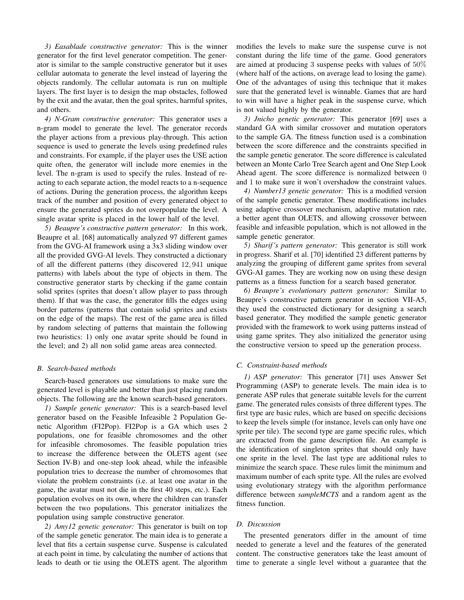*3) Easablade constructive generator:* This is the winner generator for the first level generator competition. The generator is similar to the sample constructive generator but it uses cellular automata to generate the level instead of layering the objects randomly. The cellular automata is run on multiple layers. The first layer is to design the map obstacles, followed by the exit and the avatar, then the goal sprites, harmful sprites, and others.

*4) N-Gram constructive generator:* This generator uses a n-gram model to generate the level. The generator records the player actions from a previous play-through. This action sequence is used to generate the levels using predefined rules and constraints. For example, if the player uses the USE action quite often, the generator will include more enemies in the level. The n-gram is used to specify the rules. Instead of reacting to each separate action, the model reacts to a n-sequence of actions. During the generation process, the algorithm keeps track of the number and position of every generated object to ensure the generated sprites do not overpopulate the level. A single avatar sprite is placed in the lower half of the level.

*5) Beaupre's constructive pattern generator:* In this work, Beaupre et al. [68] automatically analyzed 97 different games from the GVG-AI framework using a 3x3 sliding window over all the provided GVG-AI levels. They constructed a dictionary of all the different patterns (they discovered 12, 941 unique patterns) with labels about the type of objects in them. The constructive generator starts by checking if the game contain solid sprites (sprites that doesn't allow player to pass through them). If that was the case, the generator fills the edges using border patterns (patterns that contain solid sprites and exists on the edge of the maps). The rest of the game area is filled by random selecting of patterns that maintain the following two heuristics: 1) only one avatar sprite should be found in the level; and 2) all non solid game areas area connected.

### *B. Search-based methods*

Search-based generators use simulations to make sure the generated level is playable and better than just placing random objects. The following are the known search-based generators.

*1) Sample genetic generator:* This is a search-based level generator based on the Feasible Infeasible 2 Population Genetic Algorithm (FI2Pop). FI2Pop is a GA which uses 2 populations, one for feasible chromosomes and the other for infeasible chromosomes. The feasible population tries to increase the difference between the OLETS agent (see Section IV-B) and one-step look ahead, while the infeasible population tries to decrease the number of chromosomes that violate the problem constraints (i.e. at least one avatar in the game, the avatar must not die in the first 40 steps, etc.). Each population evolves on its own, where the children can transfer between the two populations. This generator initializes the population using sample constructive generator.

*2) Amy12 genetic generator:* This generator is built on top of the sample genetic generator. The main idea is to generate a level that fits a certain suspense curve. Suspense is calculated at each point in time, by calculating the number of actions that leads to death or tie using the OLETS agent. The algorithm modifies the levels to make sure the suspense curve is not constant during the life time of the game. Good generators are aimed at producing 3 suspense peeks with values of 50% (where half of the actions, on average lead to losing the game). One of the advantages of using this technique that it makes sure that the generated level is winnable. Games that are hard to win will have a higher peak in the suspense curve, which is not valued highly by the generator.

*3) Jnicho genetic generator:* This generator [69] uses a standard GA with similar crossover and mutation operators to the sample GA. The fitness function used is a combination between the score difference and the constraints specified in the sample genetic generator. The score difference is calculated between an Monte Carlo Tree Search agent and One Step Look Ahead agent. The score difference is normalized between 0 and 1 to make sure it won't overshadow the constraint values.

*4) Number13 genetic generator:* This is a modified version of the sample genetic generator. These modifications includes using adaptive crossover mechanism, adaptive mutation rate, a better agent than OLETS, and allowing crossover between feasible and infeasible population, which is not allowed in the sample genetic generator.

*5) Sharif 's pattern generator:* This generator is still work in progress. Sharif et al. [70] identified 23 different patterns by analyzing the grouping of different game sprites from several GVG-AI games. They are working now on using these design patterns as a fitness function for a search based generator.

*6) Beaupre's evolutionary pattern generator:* Similar to Beaupre's constructive pattern generator in section VII-A5, they used the constructed dictionary for designing a search based generator. They modified the sample genetic generator provided with the framework to work using patterns instead of using game sprites. They also initialized the generator using the constructive version to speed up the generation process.

#### *C. Constraint-based methods*

*1) ASP generator:* This generator [71] uses Answer Set Programming (ASP) to generate levels. The main idea is to generate ASP rules that generate suitable levels for the current game. The generated rules consists of three different types. The first type are basic rules, which are based on specific decisions to keep the levels simple (for instance, levels can only have one sprite per tile). The second type are game specific rules, which are extracted from the game description file. An example is the identification of singleton sprites that should only have one sprite in the level. The last type are additional rules to minimize the search space. These rules limit the minimum and maximum number of each sprite type. All the rules are evolved using evolutionary strategy with the algorithm performance difference between *sampleMCTS* and a random agent as the fitness function.

## *D. Discussion*

The presented generators differ in the amount of time needed to generate a level and the features of the generated content. The constructive generators take the least amount of time to generate a single level without a guarantee that the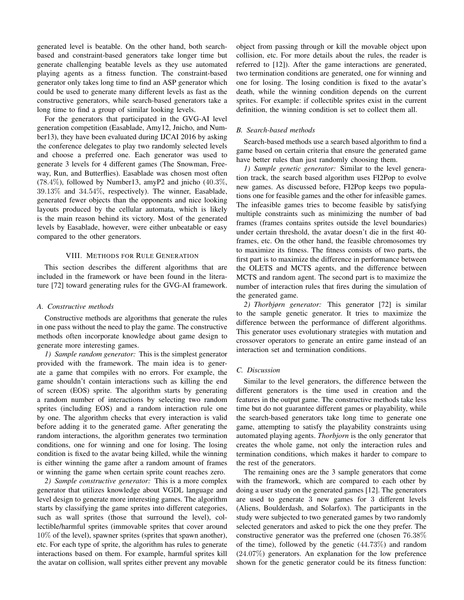generated level is beatable. On the other hand, both searchbased and constraint-based generators take longer time but generate challenging beatable levels as they use automated playing agents as a fitness function. The constraint-based generator only takes long time to find an ASP generator which could be used to generate many different levels as fast as the constructive generators, while search-based generators take a long time to find a group of similar looking levels.

For the generators that participated in the GVG-AI level generation competition (Easablade, Amy12, Jnicho, and Number13), they have been evaluated during IJCAI 2016 by asking the conference delegates to play two randomly selected levels and choose a preferred one. Each generator was used to generate 3 levels for 4 different games (The Snowman, Freeway, Run, and Butterflies). Easablade was chosen most often  $(78.4\%)$ , followed by Number13, amyP2 and jnicho  $(40.3\%$ , 39.13% and 34.54%, respectively). The winner, Easablade, generated fewer objects than the opponents and nice looking layouts produced by the cellular automata, which is likely is the main reason behind its victory. Most of the generated levels by Easablade, however, were either unbeatable or easy compared to the other generators.

## VIII. METHODS FOR RULE GENERATION

This section describes the different algorithms that are included in the framework or have been found in the literature [72] toward generating rules for the GVG-AI framework.

#### *A. Constructive methods*

Constructive methods are algorithms that generate the rules in one pass without the need to play the game. The constructive methods often incorporate knowledge about game design to generate more interesting games.

*1) Sample random generator:* This is the simplest generator provided with the framework. The main idea is to generate a game that compiles with no errors. For example, the game shouldn't contain interactions such as killing the end of screen (EOS) sprite. The algorithm starts by generating a random number of interactions by selecting two random sprites (including EOS) and a random interaction rule one by one. The algorithm checks that every interaction is valid before adding it to the generated game. After generating the random interactions, the algorithm generates two termination conditions, one for winning and one for losing. The losing condition is fixed to the avatar being killed, while the winning is either winning the game after a random amount of frames or winning the game when certain sprite count reaches zero.

*2) Sample constructive generator:* This is a more complex generator that utilizes knowledge about VGDL language and level design to generate more interesting games. The algorithm starts by classifying the game sprites into different categories, such as wall sprites (those that surround the level), collectible/harmful sprites (immovable sprites that cover around 10% of the level), spawner sprites (sprites that spawn another), etc. For each type of sprite, the algorithm has rules to generate interactions based on them. For example, harmful sprites kill the avatar on collision, wall sprites either prevent any movable object from passing through or kill the movable object upon collision, etc. For more details about the rules, the reader is referred to [12]). After the game interactions are generated, two termination conditions are generated, one for winning and one for losing. The losing condition is fixed to the avatar's death, while the winning condition depends on the current sprites. For example: if collectible sprites exist in the current definition, the winning condition is set to collect them all.

## *B. Search-based methods*

Search-based methods use a search based algorithm to find a game based on certain criteria that ensure the generated game have better rules than just randomly choosing them.

*1) Sample genetic generator:* Similar to the level generation track, the search based algorithm uses FI2Pop to evolve new games. As discussed before, FI2Pop keeps two populations one for feasible games and the other for infeasible games. The infeasible games tries to become feasible by satisfying multiple constraints such as minimizing the number of bad frames (frames contains sprites outside the level boundaries) under certain threshold, the avatar doesn't die in the first 40 frames, etc. On the other hand, the feasible chromosomes try to maximize its fitness. The fitness consists of two parts, the first part is to maximize the difference in performance between the OLETS and MCTS agents, and the difference between MCTS and random agent. The second part is to maximize the number of interaction rules that fires during the simulation of the generated game.

*2) Thorbjørn generator:* This generator [72] is similar to the sample genetic generator. It tries to maximize the difference between the performance of different algorithms. This generator uses evolutionary strategies with mutation and crossover operators to generate an entire game instead of an interaction set and termination conditions.

## *C. Discussion*

Similar to the level generators, the difference between the different generators is the time used in creation and the features in the output game. The constructive methods take less time but do not guarantee different games or playability, while the search-based generators take long time to generate one game, attempting to satisfy the playability constraints using automated playing agents. *Thorbjorn* is the only generator that creates the whole game, not only the interaction rules and termination conditions, which makes it harder to compare to the rest of the generators.

The remaining ones are the 3 sample generators that come with the framework, which are compared to each other by doing a user study on the generated games [12]. The generators are used to generate 3 new games for 3 different levels (Aliens, Boulderdash, and Solarfox). The participants in the study were subjected to two generated games by two randomly selected generators and asked to pick the one they prefer. The constructive generator was the preferred one (chosen 76.38% of the time), followed by the genetic (44.73%) and random (24.07%) generators. An explanation for the low preference shown for the genetic generator could be its fitness function: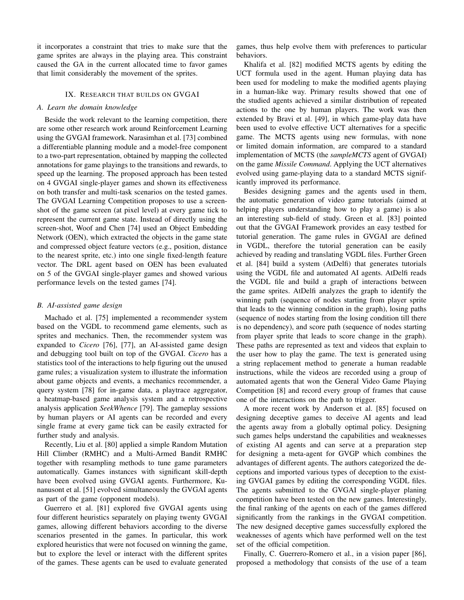it incorporates a constraint that tries to make sure that the game sprites are always in the playing area. This constraint caused the GA in the current allocated time to favor games that limit considerably the movement of the sprites.

## IX. RESEARCH THAT BUILDS ON GVGAI

#### *A. Learn the domain knowledge*

Beside the work relevant to the learning competition, there are some other research work around Reinforcement Learning using the GVGAI framework. Narasimhan et al. [73] combined a differentiable planning module and a model-free component to a two-part representation, obtained by mapping the collected annotations for game playings to the transitions and rewards, to speed up the learning. The proposed approach has been tested on 4 GVGAI single-player games and shown its effectiveness on both transfer and multi-task scenarios on the tested games. The GVGAI Learning Competition proposes to use a screenshot of the game screen (at pixel level) at every game tick to represent the current game state. Instead of directly using the screen-shot, Woof and Chen [74] used an Object Embedding Network (OEN), which extracted the objects in the game state and compressed object feature vectors (e.g., position, distance to the nearest sprite, etc.) into one single fixed-length feature vector. The DRL agent based on OEN has been evaluated on 5 of the GVGAI single-player games and showed various performance levels on the tested games [74].

#### *B. AI-assisted game design*

Machado et al. [75] implemented a recommender system based on the VGDL to recommend game elements, such as sprites and mechanics. Then, the recommender system was expanded to *Cicero* [76], [77], an AI-assisted game design and debugging tool built on top of the GVGAI. *Cicero* has a statistics tool of the interactions to help figuring out the unused game rules; a visualization system to illustrate the information about game objects and events, a mechanics recommender, a query system [78] for in-game data, a playtrace aggregator, a heatmap-based game analysis system and a retrospective analysis application *SeekWhence* [79]. The gameplay sessions by human players or AI agents can be recorded and every single frame at every game tick can be easily extracted for further study and analysis.

Recently, Liu et al. [80] applied a simple Random Mutation Hill Climber (RMHC) and a Multi-Armed Bandit RMHC together with resampling methods to tune game parameters automatically. Games instances with significant skill-depth have been evolved using GVGAI agents. Furthermore, Kunanusont et al. [51] evolved simultaneously the GVGAI agents as part of the game (opponent models).

Guerrero et al. [81] explored five GVGAI agents using four different heuristics separately on playing twenty GVGAI games, allowing different behaviors according to the diverse scenarios presented in the games. In particular, this work explored heuristics that were not focused on winning the game, but to explore the level or interact with the different sprites of the games. These agents can be used to evaluate generated games, thus help evolve them with preferences to particular behaviors.

Khalifa et al. [82] modified MCTS agents by editing the UCT formula used in the agent. Human playing data has been used for modeling to make the modified agents playing in a human-like way. Primary results showed that one of the studied agents achieved a similar distribution of repeated actions to the one by human players. The work was then extended by Bravi et al. [49], in which game-play data have been used to evolve effective UCT alternatives for a specific game. The MCTS agents using new formulas, with none or limited domain information, are compared to a standard implementation of MCTS (the *sampleMCTS* agent of GVGAI) on the game *Missile Command*. Applying the UCT alternatives evolved using game-playing data to a standard MCTS significantly improved its performance.

Besides designing games and the agents used in them, the automatic generation of video game tutorials (aimed at helping players understanding how to play a game) is also an interesting sub-field of study. Green et al. [83] pointed out that the GVGAI Framework provides an easy testbed for tutorial generation. The game rules in GVGAI are defined in VGDL, therefore the tutorial generation can be easily achieved by reading and translating VGDL files. Further Green et al. [84] build a system (AtDelfi) that generates tutorials using the VGDL file and automated AI agents. AtDelfi reads the VGDL file and build a graph of interactions between the game sprites. AtDelfi analyzes the graph to identify the winning path (sequence of nodes starting from player sprite that leads to the winning condition in the graph), losing paths (sequence of nodes starting from the losing condition till there is no dependency), and score path (sequence of nodes starting from player sprite that leads to score change in the graph). These paths are represented as text and videos that explain to the user how to play the game. The text is generated using a string replacement method to generate a human readable instructions, while the videos are recorded using a group of automated agents that won the General Video Game Playing Competition [8] and record every group of frames that cause one of the interactions on the path to trigger.

A more recent work by Anderson et al. [85] focused on designing deceptive games to deceive AI agents and lead the agents away from a globally optimal policy. Designing such games helps understand the capabilities and weaknesses of existing AI agents and can serve at a preparation step for designing a meta-agent for GVGP which combines the advantages of different agents. The authors categorized the deceptions and imported various types of deception to the existing GVGAI games by editing the corresponding VGDL files. The agents submitted to the GVGAI single-player planing competition have been tested on the new games. Interestingly, the final ranking of the agents on each of the games differed significantly from the rankings in the GVGAI competition. The new designed deceptive games successfully explored the weaknesses of agents which have performed well on the test set of the official competition.

Finally, C. Guerrero-Romero et al., in a vision paper [86], proposed a methodology that consists of the use of a team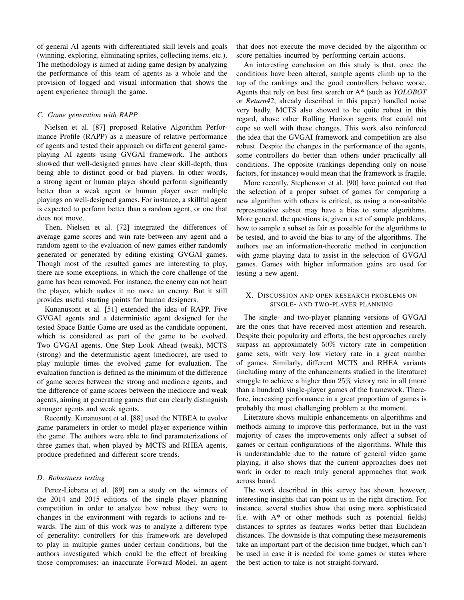of general AI agents with differentiated skill levels and goals (winning, exploring, eliminating sprites, collecting items, etc.). The methodology is aimed at aiding game design by analyzing the performance of this team of agents as a whole and the provision of logged and visual information that shows the agent experience through the game.

### *C. Game generation with RAPP*

Nielsen et al. [87] proposed Relative Algorithm Performance Profile (RAPP) as a measure of relative performance of agents and tested their approach on different general gameplaying AI agents using GVGAI framework. The authors showed that well-designed games have clear skill-depth, thus being able to distinct good or bad players. In other words, a strong agent or human player should perform significantly better than a weak agent or human player over multiple playings on well-designed games. For instance, a skillful agent is expected to perform better than a random agent, or one that does not move.

Then, Nielsen et al. [72] integrated the differences of average game scores and win rate between any agent and a random agent to the evaluation of new games either randomly generated or generated by editing existing GVGAI games. Though most of the resulted games are interesting to play, there are some exceptions, in which the core challenge of the game has been removed. For instance, the enemy can not heart the player, which makes it no more an enemy. But it still provides useful starting points for human designers.

Kunanusont et al. [51] extended the idea of RAPP. Five GVGAI agents and a deterministic agent designed for the tested Space Battle Game are used as the candidate opponent, which is considered as part of the game to be evolved. Two GVGAI agents, One Step Look Ahead (weak), MCTS (strong) and the deterministic agent (mediocre), are used to play multiple times the evolved game for evaluation. The evaluation function is defined as the minimum of the difference of game scores between the strong and mediocre agents, and the difference of game scores between the mediocre and weak agents, aiming at generating games that can clearly distinguish stronger agents and weak agents.

Recently, Kunanusont et al. [88] used the NTBEA to evolve game parameters in order to model player experience within the game. The authors were able to find parameterizations of three games that, when played by MCTS and RHEA agents, produce predefined and different score trends.

#### *D. Robustness testing*

Perez-Liebana et al. [89] ran a study on the winners of the 2014 and 2015 editions of the single player planning competition in order to analyze how robust they were to changes in the environment with regards to actions and rewards. The aim of this work was to analyze a different type of generality: controllers for this framework are developed to play in multiple games under certain conditions, but the authors investigated which could be the effect of breaking those compromises: an inaccurate Forward Model, an agent that does not execute the move decided by the algorithm or score penalties incurred by performing certain actions.

An interesting conclusion on this study is that, once the conditions have been altered, sample agents climb up to the top of the rankings and the good controllers behave worse. Agents that rely on best first search or A\* (such as *YOLOBOT* or *Return42*, already described in this paper) handled noise very badly. MCTS also showed to be quite robust in this regard, above other Rolling Horizon agents that could not cope so well with these changes. This work also reinforced the idea that the GVGAI framework and competition are also robust. Despite the changes in the performance of the agents, some controllers do better than others under practically all conditions. The opposite (rankings depending only on noise factors, for instance) would mean that the framework is fragile.

More recently, Stephenson et al. [90] have pointed out that the selection of a proper subset of games for comparing a new algorithm with others is critical, as using a non-suitable representative subset may have a bias to some algorithms. More general, the questions is, given a set of sample problems, how to sample a subset as fair as possible for the algorithms to be tested, and to avoid the bias to any of the algorithms. The authors use an information-theoretic method in conjunction with game playing data to assist in the selection of GVGAI games. Games with higher information gains are used for testing a new agent.

## X. DISCUSSION AND OPEN RESEARCH PROBLEMS ON SINGLE- AND TWO-PLAYER PLANNING

The single- and two-player planning versions of GVGAI are the ones that have received most attention and research. Despite their popularity and efforts, the best approaches rarely surpass an approximately 50% victory rate in competition game sets, with very low victory rate in a great number of games. Similarly, different MCTS and RHEA variants (including many of the enhancements studied in the literature) struggle to achieve a higher than 25% victory rate in all (more than a hundred) single-player games of the framework. Therefore, increasing performance in a great proportion of games is probably the most challenging problem at the moment.

Literature shows multiple enhancements on algorithms and methods aiming to improve this performance, but in the vast majority of cases the improvements only affect a subset of games or certain configurations of the algorithms. While this is understandable due to the nature of general video game playing, it also shows that the current approaches does not work in order to reach truly general approaches that work across board.

The work described in this survey has shown, however, interesting insights that can point us in the right direction. For instance, several studies show that using more sophisticated (i.e. with  $A^*$  or other methods such as potential fields) distances to sprites as features works better than Euclidean distances. The downside is that computing these measurements take an important part of the decision time budget, which can't be used in case it is needed for some games or states where the best action to take is not straight-forward.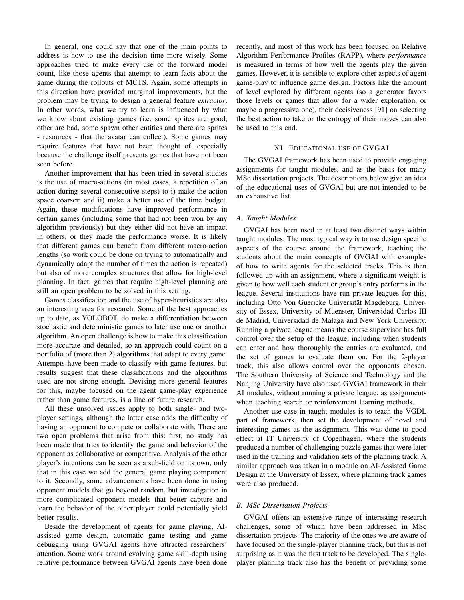In general, one could say that one of the main points to address is how to use the decision time more wisely. Some approaches tried to make every use of the forward model count, like those agents that attempt to learn facts about the game during the rollouts of MCTS. Again, some attempts in this direction have provided marginal improvements, but the problem may be trying to design a general feature *extractor*. In other words, what we try to learn is influenced by what we know about existing games (i.e. some sprites are good, other are bad, some spawn other entities and there are sprites - resources - that the avatar can collect). Some games may require features that have not been thought of, especially because the challenge itself presents games that have not been seen before.

Another improvement that has been tried in several studies is the use of macro-actions (in most cases, a repetition of an action during several consecutive steps) to i) make the action space coarser; and ii) make a better use of the time budget. Again, these modifications have improved performance in certain games (including some that had not been won by any algorithm previously) but they either did not have an impact in others, or they made the performance worse. It is likely that different games can benefit from different macro-action lengths (so work could be done on trying to automatically and dynamically adapt the number of times the action is repeated) but also of more complex structures that allow for high-level planning. In fact, games that require high-level planning are still an open problem to be solved in this setting.

Games classification and the use of hyper-heuristics are also an interesting area for research. Some of the best approaches up to date, as YOLOBOT, do make a differentiation between stochastic and deterministic games to later use one or another algorithm. An open challenge is how to make this classification more accurate and detailed, so an approach could count on a portfolio of (more than 2) algorithms that adapt to every game. Attempts have been made to classify with game features, but results suggest that these classifications and the algorithms used are not strong enough. Devising more general features for this, maybe focused on the agent game-play experience rather than game features, is a line of future research.

All these unsolved issues apply to both single- and twoplayer settings, although the latter case adds the difficulty of having an opponent to compete or collaborate with. There are two open problems that arise from this: first, no study has been made that tries to identify the game and behavior of the opponent as collaborative or competitive. Analysis of the other player's intentions can be seen as a sub-field on its own, only that in this case we add the general game playing component to it. Secondly, some advancements have been done in using opponent models that go beyond random, but investigation in more complicated opponent models that better capture and learn the behavior of the other player could potentially yield better results.

Beside the development of agents for game playing, AIassisted game design, automatic game testing and game debugging using GVGAI agents have attracted researchers' attention. Some work around evolving game skill-depth using relative performance between GVGAI agents have been done recently, and most of this work has been focused on Relative Algorithm Performance Profiles (RAPP), where *performance* is measured in terms of how well the agents play the given games. However, it is sensible to explore other aspects of agent game-play to influence game design. Factors like the amount of level explored by different agents (so a generator favors those levels or games that allow for a wider exploration, or maybe a progressive one), their decisiveness [91] on selecting the best action to take or the entropy of their moves can also be used to this end.

## XI. EDUCATIONAL USE OF GVGAI

The GVGAI framework has been used to provide engaging assignments for taught modules, and as the basis for many MSc dissertation projects. The descriptions below give an idea of the educational uses of GVGAI but are not intended to be an exhaustive list.

## *A. Taught Modules*

GVGAI has been used in at least two distinct ways within taught modules. The most typical way is to use design specific aspects of the course around the framework, teaching the students about the main concepts of GVGAI with examples of how to write agents for the selected tracks. This is then followed up with an assignment, where a significant weight is given to how well each student or group's entry performs in the league. Several institutions have run private leagues for this, including Otto Von Guericke Universität Magdeburg, University of Essex, University of Muenster, Universidad Carlos III de Madrid, Universidad de Malaga and New York University. Running a private league means the course supervisor has full control over the setup of the league, including when students can enter and how thoroughly the entries are evaluated, and the set of games to evaluate them on. For the 2-player track, this also allows control over the opponents chosen. The Southern University of Science and Technology and the Nanjing University have also used GVGAI framework in their AI modules, without running a private league, as assignments when teaching search or reinforcement learning methods.

Another use-case in taught modules is to teach the VGDL part of framework, then set the development of novel and interesting games as the assignment. This was done to good effect at IT University of Copenhagen, where the students produced a number of challenging puzzle games that were later used in the training and validation sets of the planning track. A similar approach was taken in a module on AI-Assisted Game Design at the University of Essex, where planning track games were also produced.

#### *B. MSc Dissertation Projects*

GVGAI offers an extensive range of interesting research challenges, some of which have been addressed in MSc dissertation projects. The majority of the ones we are aware of have focused on the single-player planning track, but this is not surprising as it was the first track to be developed. The singleplayer planning track also has the benefit of providing some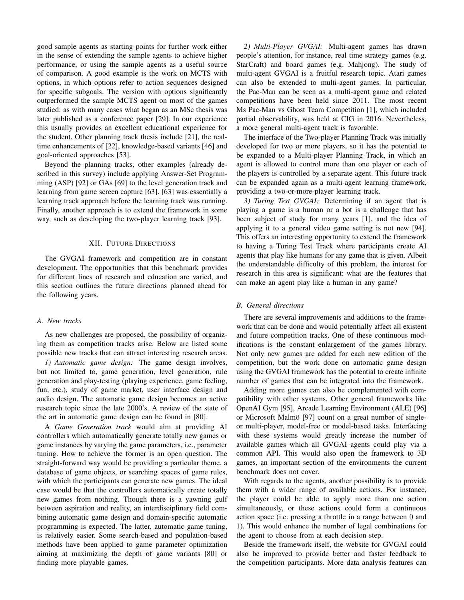good sample agents as starting points for further work either in the sense of extending the sample agents to achieve higher performance, or using the sample agents as a useful source of comparison. A good example is the work on MCTS with options, in which options refer to action sequences designed for specific subgoals. The version with options significantly outperformed the sample MCTS agent on most of the games studied: as with many cases what began as an MSc thesis was later published as a conference paper [29]. In our experience this usually provides an excellent educational experience for the student. Other planning track thesis include [21], the realtime enhancements of [22], knowledge-based variants [46] and goal-oriented approaches [53].

Beyond the planning tracks, other examples (already described in this survey) include applying Answer-Set Programming (ASP) [92] or GAs [69] to the level generation track and learning from game screen capture [63]. [63] was essentially a learning track approach before the learning track was running. Finally, another approach is to extend the framework in some way, such as developing the two-player learning track [93].

#### XII. FUTURE DIRECTIONS

The GVGAI framework and competition are in constant development. The opportunities that this benchmark provides for different lines of research and education are varied, and this section outlines the future directions planned ahead for the following years.

## *A. New tracks*

As new challenges are proposed, the possibility of organizing them as competition tracks arise. Below are listed some possible new tracks that can attract interesting research areas.

*1) Automatic game design:* The game design involves, but not limited to, game generation, level generation, rule generation and play-testing (playing experience, game feeling, fun, etc.), study of game market, user interface design and audio design. The automatic game design becomes an active research topic since the late 2000's. A review of the state of the art in automatic game design can be found in [80].

A *Game Generation track* would aim at providing AI controllers which automatically generate totally new games or game instances by varying the game parameters, i.e., parameter tuning. How to achieve the former is an open question. The straight-forward way would be providing a particular theme, a database of game objects, or searching spaces of game rules, with which the participants can generate new games. The ideal case would be that the controllers automatically create totally new games from nothing. Though there is a yawning gulf between aspiration and reality, an interdisciplinary field combining automatic game design and domain-specific automatic programming is expected. The latter, automatic game tuning, is relatively easier. Some search-based and population-based methods have been applied to game parameter optimization aiming at maximizing the depth of game variants [80] or finding more playable games.

*2) Multi-Player GVGAI:* Multi-agent games has drawn people's attention, for instance, real time strategy games (e.g. StarCraft) and board games (e.g. Mahjong). The study of multi-agent GVGAI is a fruitful research topic. Atari games can also be extended to multi-agent games. In particular, the Pac-Man can be seen as a multi-agent game and related competitions have been held since 2011. The most recent Ms Pac-Man vs Ghost Team Competition [1], which included partial observability, was held at CIG in 2016. Nevertheless, a more general multi-agent track is favorable.

The interface of the Two-player Planning Track was initially developed for two or more players, so it has the potential to be expanded to a Multi-player Planning Track, in which an agent is allowed to control more than one player or each of the players is controlled by a separate agent. This future track can be expanded again as a multi-agent learning framework, providing a two-or-more-player learning track.

*3) Turing Test GVGAI:* Determining if an agent that is playing a game is a human or a bot is a challenge that has been subject of study for many years [1], and the idea of applying it to a general video game setting is not new [94]. This offers an interesting opportunity to extend the framework to having a Turing Test Track where participants create AI agents that play like humans for any game that is given. Albeit the understandable difficulty of this problem, the interest for research in this area is significant: what are the features that can make an agent play like a human in any game?

## *B. General directions*

There are several improvements and additions to the framework that can be done and would potentially affect all existent and future competition tracks. One of these continuous modifications is the constant enlargement of the games library. Not only new games are added for each new edition of the competition, but the work done on automatic game design using the GVGAI framework has the potential to create infinite number of games that can be integrated into the framework.

Adding more games can also be complemented with compatibility with other systems. Other general frameworks like OpenAI Gym [95], Arcade Learning Environment (ALE) [96] or Microsoft Malmö [97] count on a great number of singleor multi-player, model-free or model-based tasks. Interfacing with these systems would greatly increase the number of available games which all GVGAI agents could play via a common API. This would also open the framework to 3D games, an important section of the environments the current benchmark does not cover.

With regards to the agents, another possibility is to provide them with a wider range of available actions. For instance, the player could be able to apply more than one action simultaneously, or these actions could form a continuous action space (i.e. pressing a throttle in a range between 0 and 1). This would enhance the number of legal combinations for the agent to choose from at each decision step.

Beside the framework itself, the website for GVGAI could also be improved to provide better and faster feedback to the competition participants. More data analysis features can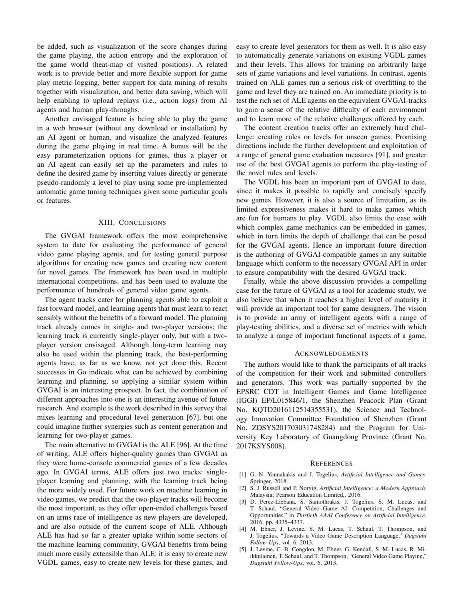be added, such as visualization of the score changes during the game playing, the action entropy and the exploration of the game world (heat-map of visited positions). A related work is to provide better and more flexible support for game play metric logging, better support for data mining of results together with visualization, and better data saving, which will help enabling to upload replays (i.e., action logs) from AI agents and human play-throughs.

Another envisaged feature is being able to play the game in a web browser (without any download or installation) by an AI agent or human, and visualize the analyzed features during the game playing in real time. A bonus will be the easy parameterization options for games, thus a player or an AI agent can easily set up the parameters and rules to define the desired game by inserting values directly or generate pseudo-randomly a level to play using some pre-implemented automatic game tuning techniques given some particular goals or features.

## XIII. CONCLUSIONS

The GVGAI framework offers the most comprehensive system to date for evaluating the performance of general video game playing agents, and for testing general purpose algorithms for creating new games and creating new content for novel games. The framework has been used in multiple international competitions, and has been used to evaluate the performance of hundreds of general video game agents.

The agent tracks cater for planning agents able to exploit a fast forward model, and learning agents that must learn to react sensibly without the benefits of a forward model. The planning track already comes in single- and two-player versions; the learning track is currently single-player only, but with a twoplayer version envisaged. Although long-term learning may also be used within the planning track, the best-performing agents have, as far as we know, not yet done this. Recent successes in Go indicate what can be achieved by combining learning and planning, so applying a similar system within GVGAI is an interesting prospect. In fact, the combination of different approaches into one is an interesting avenue of future research. And example is the work described in this survey that mixes learning and procedural level generation [67], but one could imagine further synergies such as content generation and learning for two-player games.

The main alternative to GVGAI is the ALE [96]. At the time of writing, ALE offers higher-quality games than GVGAI as they were home-console commercial games of a few decades ago. In GVGAI terms, ALE offers just two tracks: singleplayer learning and planning, with the learning track being the more widely used. For future work on machine learning in video games, we predict that the two-player tracks will become the most important, as they offer open-ended challenges based on an arms race of intelligence as new players are developed, and are also outside of the current scope of ALE. Although ALE has had so far a greater uptake within some sectors of the machine learning community, GVGAI benefits from being much more easily extensible than ALE: it is easy to create new VGDL games, easy to create new levels for these games, and

easy to create level generators for them as well. It is also easy to automatically generate variations on existing VGDL games and their levels. This allows for training on arbitrarily large sets of game variations and level variations. In contrast, agents trained on ALE games run a serious risk of overfitting to the game and level they are trained on. An immediate priority is to test the rich set of ALE agents on the equivalent GVGAI-tracks to gain a sense of the relative difficulty of each environment and to learn more of the relative challenges offered by each.

The content creation tracks offer an extremely hard challenge: creating rules or levels for unseen games. Promising directions include the further development and exploitation of a range of general game evaluation measures [91], and greater use of the best GVGAI agents to perform the play-testing of the novel rules and levels.

The VGDL has been an important part of GVGAI to date, since it makes it possible to rapidly and concisely specify new games. However, it is also a source of limitation, as its limited expressiveness makes it hard to make games which are fun for humans to play. VGDL also limits the ease with which complex game mechanics can be embedded in games, which in turn limits the depth of challenge that can be posed for the GVGAI agents. Hence an important future direction is the authoring of GVGAI-compatible games in any suitable language which conform to the necessary GVGAI API in order to ensure compatibility with the desired GVGAI track.

Finally, while the above discussion provides a compelling case for the future of GVGAI as a tool for academic study, we also believe that when it reaches a higher level of maturity it will provide an important tool for game designers. The vision is to provide an army of intelligent agents with a range of play-testing abilities, and a diverse set of metrics with which to analyze a range of important functional aspects of a game.

#### ACKNOWLEDGEMENTS

The authors would like to thank the participants of all tracks of the competition for their work and submitted controllers and generators. This work was partially supported by the EPSRC CDT in Intelligent Games and Game Intelligence (IGGI) EP/L015846/1, the Shenzhen Peacock Plan (Grant No. KQTD2016112514355531), the Science and Technology Innovation Committee Foundation of Shenzhen (Grant No. ZDSYS201703031748284) and the Program for University Key Laboratory of Guangdong Province (Grant No. 2017KSYS008).

#### **REFERENCES**

- [1] G. N. Yannakakis and J. Togelius, *Artificial Intelligence and Games*. Springer, 2018.
- [2] S. J. Russell and P. Norvig, *Artificial Intelligence: a Modern Approach*. Malaysia; Pearson Education Limited,, 2016.
- [3] D. Perez-Liebana, S. Samothrakis, J. Togelius, S. M. Lucas, and T. Schaul, "General Video Game AI: Competition, Challenges and Opportunities," in *Thirtieth AAAI Conference on Artificial Intelligence*, 2016, pp. 4335–4337.
- [4] M. Ebner, J. Levine, S. M. Lucas, T. Schaul, T. Thompson, and J. Togelius, "Towards a Video Game Description Language," *Dagstuhl Follow-Ups*, vol. 6, 2013.
- [5] J. Levine, C. B. Congdon, M. Ebner, G. Kendall, S. M. Lucas, R. Miikkulainen, T. Schaul, and T. Thompson, "General Video Game Playing," *Dagstuhl Follow-Ups*, vol. 6, 2013.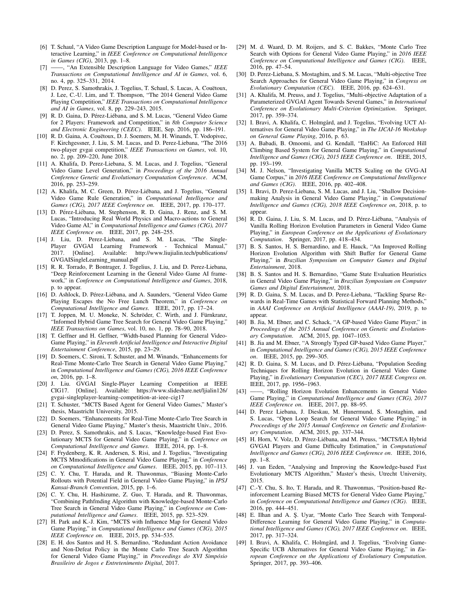- [6] T. Schaul, "A Video Game Description Language for Model-based or Interactive Learning," in *IEEE Conference on Computational Intelligence in Games (CIG)*, 2013, pp. 1–8.
- [7] ——, "An Extensible Description Language for Video Games," *IEEE Transactions on Computational Intelligence and AI in Games*, vol. 6, no. 4, pp. 325–331, 2014.
- [8] D. Perez, S. Samothrakis, J. Togelius, T. Schaul, S. Lucas, A. Couëtoux, J. Lee, C.-U. Lim, and T. Thompson, "The 2014 General Video Game Playing Competition," *IEEE Transactions on Computational Intelligence and AI in Games*, vol. 8, pp. 229–243, 2015.
- R. D. Gaina, D. Pérez-Liébana, and S. M. Lucas, "General Video Game for 2 Players: Framework and Competition," in *8th Computer Science and Electronic Engineering (CEEC)*. IEEE, Sep. 2016, pp. 186–191.
- [10] R. D. Gaina, A. Couëtoux, D. J. Soemers, M. H. Winands, T. Vodopivec, F. Kirchgessner, J. Liu, S. M. Lucas, and D. Perez-Liebana, "The 2016 two-player gvgai competition," *IEEE Transactions on Games*, vol. 10, no. 2, pp. 209–220, June 2018.
- [11] A. Khalifa, D. Perez-Liebana, S. M. Lucas, and J. Togelius, "General Video Game Level Generation," in *Proceedings of the 2016 Annual Conference Genetic and Evolutionary Computation Conference*. ACM, 2016, pp. 253–259.
- [12] A. Khalifa, M. C. Green, D. Pérez-Liébana, and J. Togelius, "General Video Game Rule Generation," in *Computational Intelligence and Games (CIG), 2017 IEEE Conference on*. IEEE, 2017, pp. 170–177.
- [13] D. Pérez-Liébana, M. Stephenson, R. D. Gaina, J. Renz, and S. M. Lucas, "Introducing Real World Physics and Macro-actions to General Video Game AI," in *Computational Intelligence and Games (CIG), 2017 IEEE Conference on*. IEEE, 2017, pp. 248–255.
- [14] J. Liu, D. Perez-Liebana, and S. M. Lucas, "The Single-Player GVGAI Learning Framework - Technical Manual," 2017. [Online]. Available: http://www.liujialin.tech/publications/ GVGAISingleLearning manual.pdf
- [15] R. R. Torrado, P. Bontrager, J. Togelius, J. Liu, and D. Perez-Liebana, "Deep Reinforcement Learning in the General Video Game AI framework," in *Conference on Computational Intelligence and Games*, 2018, p. to appear.
- [16] D. Ashlock, D. Pérez-Liébana, and A. Saunders, "General Video Game Playing Escapes the No Free Lunch Theorem," in *Conference on Computational Intelligence and Games*. IEEE, 2017, pp. 17–24.
- [17] T. Joppen, M. U. Moneke, N. Schröder, C. Wirth, and J. Fürnkranz, "Informed Hybrid Game Tree Search for General Video Game Playing," *IEEE Transactions on Games*, vol. 10, no. 1, pp. 78–90, 2018.
- [18] T. Geffner and H. Geffner, "Width-based Planning for General Video-Game Playing," in *Eleventh Artificial Intelligence and Interactive Digital Entertainment Conference*, 2015, pp. 23–29.
- [19] D. Soemers, C. Sironi, T. Schuster, and M. Winands, "Enhancements for Real-Time Monte-Carlo Tree Search in General Video Game Playing,' in *Computational Intelligence and Games (CIG), 2016 IEEE Conference on*, 2016, pp. 1–8.
- [20] J. Liu. GVGAI Single-Player Learning Competition at IEEE CIG17. [Online]. Available: https://www.slideshare.net/ljialin126/ gvgai-singleplayer-learning-competition-at-ieee-cig17
- [21] T. Schuster, "MCTS Based Agent for General Video Games," Master's thesis, Maastricht University, 2015.
- [22] D. Soemers, "Enhancements for Real-Time Monte-Carlo Tree Search in General Video Game Playing," Master's thesis, Maastricht Univ., 2016.
- [23] D. Perez, S. Samothrakis, and S. Lucas, "Knowledge-based Fast Evolutionary MCTS for General Video Game Playing," in *Conference on Computational Intelligence and Games*. IEEE, 2014, pp. 1–8.
- [24] F. Frydenberg, K. R. Andersen, S. Risi, and J. Togelius, "Investigating MCTS Mmodifications in General Video Game Playing," in *Conference on Computational Intelligence and Games*. IEEE, 2015, pp. 107–113.
- [25] C. Y. Chu, T. Harada, and R. Thawonmas, "Biasing Monte-Carlo Rollouts with Potential Field in General Video Game Playing," in *IPSJ Kansai-Branch Convention*, 2015, pp. 1–6.
- [26] C. Y. Chu, H. Hashizume, Z. Guo, T. Harada, and R. Thawonmas, "Combining Pathfmding Algorithm with Knowledge-based Monte-Carlo Tree Search in General Video Game Playing," in *Conference on Computational Intelligence and Games*. IEEE, 2015, pp. 523–529.
- [27] H. Park and K.-J. Kim, "MCTS with Influence Map for General Video Game Playing," in *Computational Intelligence and Games (CIG), 2015 IEEE Conference on*. IEEE, 2015, pp. 534–535.
- [28] E. H. dos Santos and H. S. Bernardino, "Redundant Action Avoidance and Non-Defeat Policy in the Monte Carlo Tree Search Algorithm for General Video Game Playing," in *Proceedings do XVI Simposio ´ Brasileiro de Jogos e Entretenimento Digital*, 2017.
- [29] M. d. Waard, D. M. Roijers, and S. C. Bakkes, "Monte Carlo Tree Search with Options for General Video Game Playing," in *2016 IEEE Conference on Computational Intelligence and Games (CIG)*. IEEE, 2016, pp. 47–54.
- [30] D. Perez-Liebana, S. Mostaghim, and S. M. Lucas, "Multi-objective Tree Search Approaches for General Video Game Playing," in *Congress on Evolutionary Computation (CEC)*. IEEE, 2016, pp. 624–631.
- [31] A. Khalifa, M. Preuss, and J. Togelius, "Multi-objective Adaptation of a Parameterized GVGAI Agent Towards Several Games," in *International Conference on Evolutionary Multi-Criterion Optimization*. Springer, 2017, pp. 359–374.
- [32] I. Bravi, A. Khalifa, C. Holmgård, and J. Togelius, "Evolving UCT Alternatives for General Video Game Playing," in *The IJCAI-16 Workshop on General Game Playing*, 2016, p. 63.
- [33] A. Babadi, B. Omoomi, and G. Kendall, "EnHiC: An Enforced Hill Climbing Based System for General Game Playing," in *Computational Intelligence and Games (CIG), 2015 IEEE Conference on*. IEEE, 2015, pp. 193–199.
- [34] M. J. Nelson, "Investigating Vanilla MCTS Scaling on the GVG-AI Game Corpus," in *2016 IEEE Conference on Computational Intelligence and Games (CIG)*. IEEE, 2016, pp. 402–408.
- [35] I. Bravi, D. Perez-Liebana, S. M. Lucas, and J. Liu, "Shallow Decisionmaking Analysis in General Video Game Playing," in *Computational Intelligence and Games (CIG), 2018 IEEE Conference on*, 2018, p. to appear.
- [36] R. D. Gaina, J. Liu, S. M. Lucas, and D. Pérez-Liébana, "Analysis of Vanilla Rolling Horizon Evolution Parameters in General Video Game Playing," in *European Conference on the Applications of Evolutionary Computation*. Springer, 2017, pp. 418–434.
- [37] B. S. Santos, H. S. Bernardino, and E. Hauck, "An Improved Rolling Horizon Evolution Algorithm with Shift Buffer for General Game Playing," in *Brazilian Symposium on Computer Games and Digital Entertainment*, 2018.
- [38] B. S. Santos and H. S. Bernardino, "Game State Evaluation Heuristics in General Video Game Playing," in *Brazilian Symposium on Computer Games and Digital Entertainment*, 2018.
- [39] R. D. Gaina, S. M. Lucas, and D. Perez-Liebana, "Tackling Sparse Rewards in Real-Time Games with Statistical Forward Planning Methods," in *AAAI Conference on Artificial Intelligence (AAAI-19)*, 2019, p. to appear.
- [40] B. Jia, M. Ebner, and C. Schack, "A GP-based Video Game Player," in *Proceedings of the 2015 Annual Conference on Genetic and Evolutionary Computation*. ACM, 2015, pp. 1047–1053.
- [41] B. Jia and M. Ebner, "A Strongly Typed GP-based Video Game Player," in *Computational Intelligence and Games (CIG), 2015 IEEE Conference on*. IEEE, 2015, pp. 299–305.
- [42] R. D. Gaina, S. M. Lucas, and D. Pérez-Liébana, "Population Seeding Techniques for Rolling Horizon Evolution in General Video Game Playing," in *Evolutionary Computation (CEC), 2017 IEEE Congress on*. IEEE, 2017, pp. 1956–1963.
- [43] -, "Rolling Horizon Evolution Enhancements in General Video Game Playing," in *Computational Intelligence and Games (CIG), 2017 IEEE Conference on*. IEEE, 2017, pp. 88–95.
- [44] D. Perez Liebana, J. Dieskau, M. Hunermund, S. Mostaghim, and S. Lucas, "Open Loop Search for General Video Game Playing," in *Proceedings of the 2015 Annual Conference on Genetic and Evolutionary Computation*. ACM, 2015, pp. 337–344.
- [45] H. Horn, V. Volz, D. Pérez-Liébana, and M. Preuss, "MCTS/EA Hybrid GVGAI Players and Game Difficulty Estimation," in *Computational Intelligence and Games (CIG), 2016 IEEE Conference on*. IEEE, 2016, pp. 1–8.
- [46] J. van Eeden, "Analysing and Improving the Knowledge-based Fast Evolutionary MCTS Algorithm," Master's thesis, Utrecht University, 2015.
- [47] C.-Y. Chu, S. Ito, T. Harada, and R. Thawonmas, "Position-based Reinforcement Learning Biased MCTS for General Video Game Playing," in *Conference on Computational Intelligence and Games (CIG)*. IEEE, 2016, pp. 444–451.
- [48] E. Ilhan and A. Ş. Uyar, "Monte Carlo Tree Search with Temporal-Difference Learning for General Video Game Playing," in *Computational Intelligence and Games (CIG), 2017 IEEE Conference on*. IEEE, 2017, pp. 317–324.
- [49] I. Bravi, A. Khalifa, C. Holmgård, and J. Togelius, "Evolving Game-Specific UCB Alternatives for General Video Game Playing," in *European Conference on the Applications of Evolutionary Computation*. Springer, 2017, pp. 393–406.